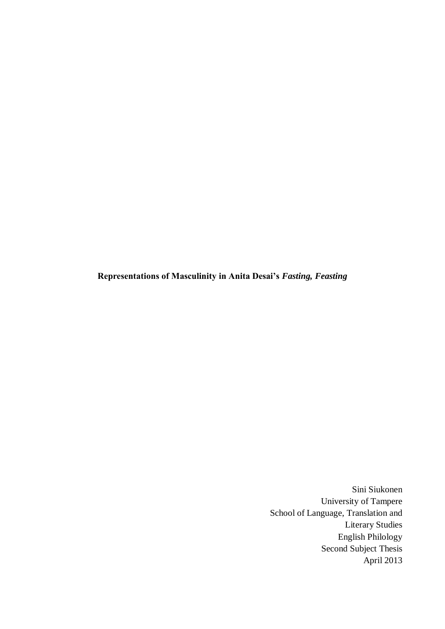**Representations of Masculinity in Anita Desai's** *Fasting, Feasting*

Sini Siukonen University of Tampere School of Language, Translation and Literary Studies English Philology Second Subject Thesis April 2013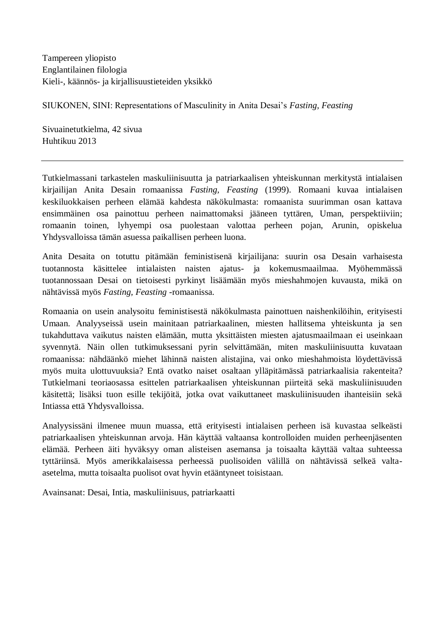Tampereen yliopisto Englantilainen filologia Kieli-, käännös- ja kirjallisuustieteiden yksikkö

SIUKONEN, SINI: Representations of Masculinity in Anita Desai's *Fasting, Feasting*

Sivuainetutkielma, 42 sivua Huhtikuu 2013

Tutkielmassani tarkastelen maskuliinisuutta ja patriarkaalisen yhteiskunnan merkitystä intialaisen kirjailijan Anita Desain romaanissa *Fasting, Feasting* (1999). Romaani kuvaa intialaisen keskiluokkaisen perheen elämää kahdesta näkökulmasta: romaanista suurimman osan kattava ensimmäinen osa painottuu perheen naimattomaksi jääneen tyttären, Uman, perspektiiviin; romaanin toinen, lyhyempi osa puolestaan valottaa perheen pojan, Arunin, opiskelua Yhdysvalloissa tämän asuessa paikallisen perheen luona.

Anita Desaita on totuttu pitämään feministisenä kirjailijana: suurin osa Desain varhaisesta tuotannosta käsittelee intialaisten naisten ajatus- ja kokemusmaailmaa. Myöhemmässä tuotannossaan Desai on tietoisesti pyrkinyt lisäämään myös mieshahmojen kuvausta, mikä on nähtävissä myös *Fasting, Feasting* -romaanissa.

Romaania on usein analysoitu feministisestä näkökulmasta painottuen naishenkilöihin, erityisesti Umaan. Analyyseissä usein mainitaan patriarkaalinen, miesten hallitsema yhteiskunta ja sen tukahduttava vaikutus naisten elämään, mutta yksittäisten miesten ajatusmaailmaan ei useinkaan syvennytä. Näin ollen tutkimuksessani pyrin selvittämään, miten maskuliinisuutta kuvataan romaanissa: nähdäänkö miehet lähinnä naisten alistajina, vai onko mieshahmoista löydettävissä myös muita ulottuvuuksia? Entä ovatko naiset osaltaan ylläpitämässä patriarkaalisia rakenteita? Tutkielmani teoriaosassa esittelen patriarkaalisen yhteiskunnan piirteitä sekä maskuliinisuuden käsitettä; lisäksi tuon esille tekijöitä, jotka ovat vaikuttaneet maskuliinisuuden ihanteisiin sekä Intiassa että Yhdysvalloissa.

Analyysissäni ilmenee muun muassa, että erityisesti intialaisen perheen isä kuvastaa selkeästi patriarkaalisen yhteiskunnan arvoja. Hän käyttää valtaansa kontrolloiden muiden perheenjäsenten elämää. Perheen äiti hyväksyy oman alisteisen asemansa ja toisaalta käyttää valtaa suhteessa tyttäriinsä. Myös amerikkalaisessa perheessä puolisoiden välillä on nähtävissä selkeä valtaasetelma, mutta toisaalta puolisot ovat hyvin etääntyneet toisistaan.

Avainsanat: Desai, Intia, maskuliinisuus, patriarkaatti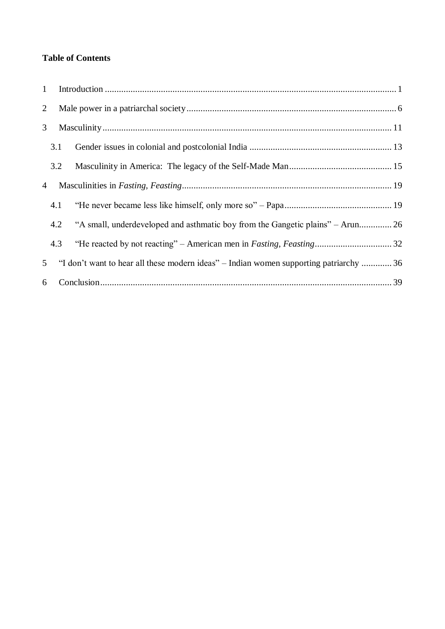# **Table of Contents**

| $\mathbf{1}$   |     |                                                                                        |  |
|----------------|-----|----------------------------------------------------------------------------------------|--|
| $\overline{2}$ |     |                                                                                        |  |
| 3              |     |                                                                                        |  |
|                | 3.1 |                                                                                        |  |
|                | 3.2 |                                                                                        |  |
| 4              |     |                                                                                        |  |
|                | 4.1 |                                                                                        |  |
|                | 4.2 | "A small, underdeveloped and asthmatic boy from the Gangetic plains" – Arun 26         |  |
|                | 4.3 |                                                                                        |  |
| 5 <sup>5</sup> |     | "I don't want to hear all these modern ideas" – Indian women supporting patriarchy  36 |  |
|                | 6   |                                                                                        |  |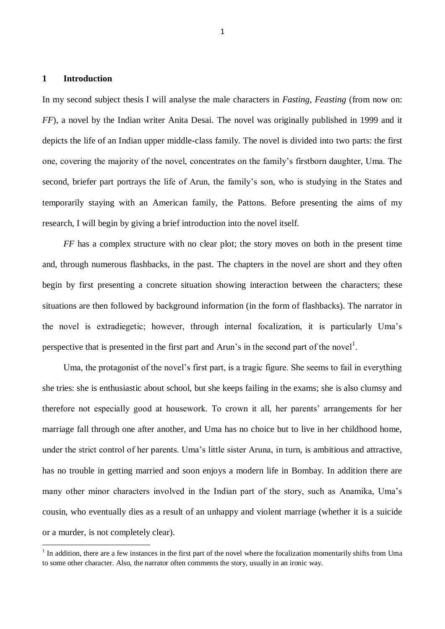# <span id="page-3-0"></span>**1 Introduction**

-

In my second subject thesis I will analyse the male characters in *Fasting, Feasting* (from now on: *FF*), a novel by the Indian writer Anita Desai. The novel was originally published in 1999 and it depicts the life of an Indian upper middle-class family. The novel is divided into two parts: the first one, covering the majority of the novel, concentrates on the family's firstborn daughter, Uma. The second, briefer part portrays the life of Arun, the family's son, who is studying in the States and temporarily staying with an American family, the Pattons. Before presenting the aims of my research, I will begin by giving a brief introduction into the novel itself.

*FF* has a complex structure with no clear plot; the story moves on both in the present time and, through numerous flashbacks, in the past. The chapters in the novel are short and they often begin by first presenting a concrete situation showing interaction between the characters; these situations are then followed by background information (in the form of flashbacks). The narrator in the novel is extradiegetic; however, through internal focalization, it is particularly Uma's perspective that is presented in the first part and Arun's in the second part of the novel<sup>1</sup>.

Uma, the protagonist of the novel's first part, is a tragic figure. She seems to fail in everything she tries: she is enthusiastic about school, but she keeps failing in the exams; she is also clumsy and therefore not especially good at housework. To crown it all, her parents' arrangements for her marriage fall through one after another, and Uma has no choice but to live in her childhood home, under the strict control of her parents. Uma's little sister Aruna, in turn, is ambitious and attractive, has no trouble in getting married and soon enjoys a modern life in Bombay. In addition there are many other minor characters involved in the Indian part of the story, such as Anamika, Uma's cousin, who eventually dies as a result of an unhappy and violent marriage (whether it is a suicide or a murder, is not completely clear).

 $<sup>1</sup>$  In addition, there are a few instances in the first part of the novel where the focalization momentarily shifts from Uma</sup> to some other character. Also, the narrator often comments the story, usually in an ironic way.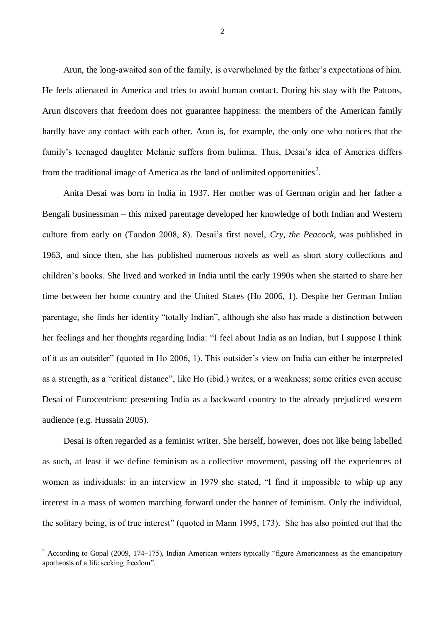Arun, the long-awaited son of the family, is overwhelmed by the father's expectations of him. He feels alienated in America and tries to avoid human contact. During his stay with the Pattons, Arun discovers that freedom does not guarantee happiness: the members of the American family hardly have any contact with each other. Arun is, for example, the only one who notices that the family's teenaged daughter Melanie suffers from bulimia. Thus, Desai's idea of America differs from the traditional image of America as the land of unlimited opportunities<sup>2</sup>.

Anita Desai was born in India in 1937. Her mother was of German origin and her father a Bengali businessman – this mixed parentage developed her knowledge of both Indian and Western culture from early on (Tandon 2008, 8). Desai's first novel, *Cry, the Peacock*, was published in 1963, and since then, she has published numerous novels as well as short story collections and children's books. She lived and worked in India until the early 1990s when she started to share her time between her home country and the United States (Ho 2006, 1). Despite her German Indian parentage, she finds her identity "totally Indian", although she also has made a distinction between her feelings and her thoughts regarding India: "I feel about India as an Indian, but I suppose I think of it as an outsider" (quoted in Ho 2006, 1). This outsider's view on India can either be interpreted as a strength, as a "critical distance", like Ho (ibid.) writes, or a weakness; some critics even accuse Desai of Eurocentrism: presenting India as a backward country to the already prejudiced western audience (e.g. Hussain 2005).

Desai is often regarded as a feminist writer. She herself, however, does not like being labelled as such, at least if we define feminism as a collective movement, passing off the experiences of women as individuals: in an interview in 1979 she stated, "I find it impossible to whip up any interest in a mass of women marching forward under the banner of feminism. Only the individual, the solitary being, is of true interest" (quoted in Mann 1995, 173). She has also pointed out that the

-

 $2 \text{ According to Gopal (2009, 174–175), Indian American writers typically "figure Americans as the emancipatory" and the same idea.}$ apotheosis of a life seeking freedom".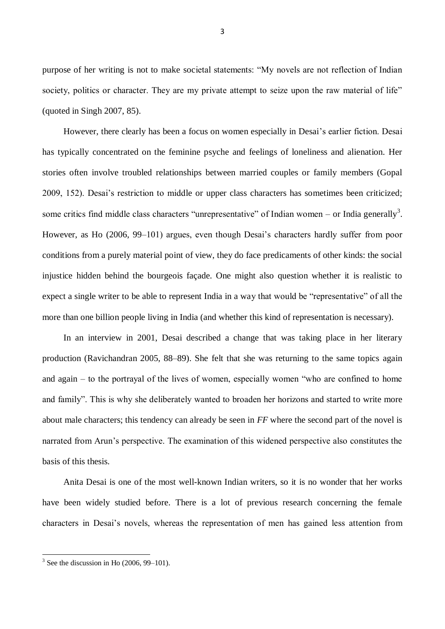purpose of her writing is not to make societal statements: "My novels are not reflection of Indian society, politics or character. They are my private attempt to seize upon the raw material of life" (quoted in Singh 2007, 85).

However, there clearly has been a focus on women especially in Desai's earlier fiction. Desai has typically concentrated on the feminine psyche and feelings of loneliness and alienation. Her stories often involve troubled relationships between married couples or family members (Gopal 2009, 152). Desai's restriction to middle or upper class characters has sometimes been criticized; some critics find middle class characters "unrepresentative" of Indian women – or India generally<sup>3</sup>. However, as Ho (2006, 99–101) argues, even though Desai's characters hardly suffer from poor conditions from a purely material point of view, they do face predicaments of other kinds: the social injustice hidden behind the bourgeois façade. One might also question whether it is realistic to expect a single writer to be able to represent India in a way that would be "representative" of all the more than one billion people living in India (and whether this kind of representation is necessary).

In an interview in 2001, Desai described a change that was taking place in her literary production (Ravichandran 2005, 88–89). She felt that she was returning to the same topics again and again – to the portrayal of the lives of women, especially women "who are confined to home and family". This is why she deliberately wanted to broaden her horizons and started to write more about male characters; this tendency can already be seen in *FF* where the second part of the novel is narrated from Arun's perspective. The examination of this widened perspective also constitutes the basis of this thesis.

Anita Desai is one of the most well-known Indian writers, so it is no wonder that her works have been widely studied before. There is a lot of previous research concerning the female characters in Desai's novels, whereas the representation of men has gained less attention from

**.** 

 $3$  See the discussion in Ho (2006, 99–101).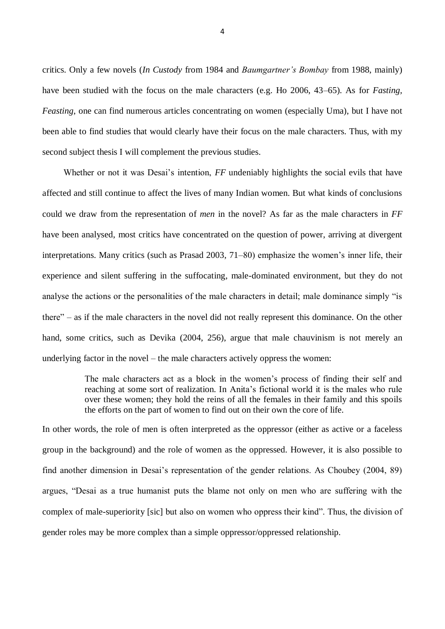critics. Only a few novels (*In Custody* from 1984 and *Baumgartner's Bombay* from 1988, mainly) have been studied with the focus on the male characters (e.g. Ho 2006, 43–65). As for *Fasting, Feasting*, one can find numerous articles concentrating on women (especially Uma), but I have not been able to find studies that would clearly have their focus on the male characters. Thus, with my second subject thesis I will complement the previous studies.

Whether or not it was Desai's intention, *FF* undeniably highlights the social evils that have affected and still continue to affect the lives of many Indian women. But what kinds of conclusions could we draw from the representation of *men* in the novel? As far as the male characters in *FF*  have been analysed, most critics have concentrated on the question of power, arriving at divergent interpretations. Many critics (such as Prasad 2003, 71–80) emphasize the women's inner life, their experience and silent suffering in the suffocating, male-dominated environment, but they do not analyse the actions or the personalities of the male characters in detail; male dominance simply "is there" – as if the male characters in the novel did not really represent this dominance. On the other hand, some critics, such as Devika (2004, 256), argue that male chauvinism is not merely an underlying factor in the novel – the male characters actively oppress the women:

> The male characters act as a block in the women's process of finding their self and reaching at some sort of realization. In Anita's fictional world it is the males who rule over these women; they hold the reins of all the females in their family and this spoils the efforts on the part of women to find out on their own the core of life.

In other words, the role of men is often interpreted as the oppressor (either as active or a faceless group in the background) and the role of women as the oppressed. However, it is also possible to find another dimension in Desai's representation of the gender relations. As Choubey (2004, 89) argues, "Desai as a true humanist puts the blame not only on men who are suffering with the complex of male-superiority [sic] but also on women who oppress their kind". Thus, the division of gender roles may be more complex than a simple oppressor/oppressed relationship.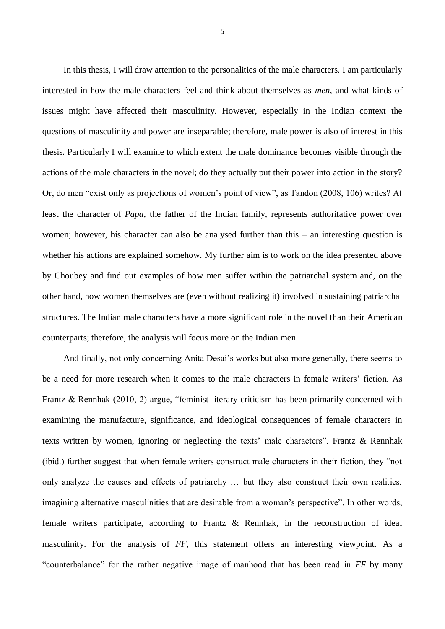In this thesis, I will draw attention to the personalities of the male characters. I am particularly interested in how the male characters feel and think about themselves as *men*, and what kinds of issues might have affected their masculinity. However, especially in the Indian context the questions of masculinity and power are inseparable; therefore, male power is also of interest in this thesis. Particularly I will examine to which extent the male dominance becomes visible through the actions of the male characters in the novel; do they actually put their power into action in the story? Or, do men "exist only as projections of women's point of view", as Tandon (2008, 106) writes? At least the character of *Papa*, the father of the Indian family, represents authoritative power over women; however, his character can also be analysed further than this – an interesting question is whether his actions are explained somehow. My further aim is to work on the idea presented above by Choubey and find out examples of how men suffer within the patriarchal system and, on the other hand, how women themselves are (even without realizing it) involved in sustaining patriarchal structures. The Indian male characters have a more significant role in the novel than their American counterparts; therefore, the analysis will focus more on the Indian men.

And finally, not only concerning Anita Desai's works but also more generally, there seems to be a need for more research when it comes to the male characters in female writers' fiction. As Frantz & Rennhak (2010, 2) argue, "feminist literary criticism has been primarily concerned with examining the manufacture, significance, and ideological consequences of female characters in texts written by women, ignoring or neglecting the texts' male characters". Frantz & Rennhak (ibid.) further suggest that when female writers construct male characters in their fiction, they "not only analyze the causes and effects of patriarchy … but they also construct their own realities, imagining alternative masculinities that are desirable from a woman's perspective". In other words, female writers participate, according to Frantz & Rennhak, in the reconstruction of ideal masculinity. For the analysis of *FF*, this statement offers an interesting viewpoint. As a "counterbalance" for the rather negative image of manhood that has been read in *FF* by many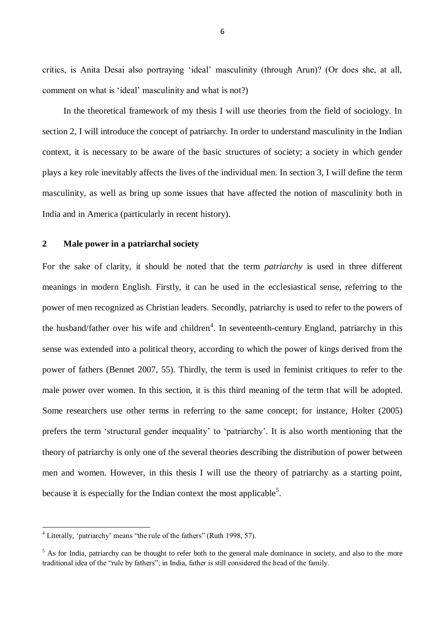critics, is Anita Desai also portraying 'ideal' masculinity (through Arun)? (Or does she, at all, comment on what is 'ideal' masculinity and what is not?)

In the theoretical framework of my thesis I will use theories from the field of sociology. In section 2, I will introduce the concept of patriarchy. In order to understand masculinity in the Indian context, it is necessary to be aware of the basic structures of society; a society in which gender plays a key role inevitably affects the lives of the individual men. In section 3, I will define the term masculinity, as well as bring up some issues that have affected the notion of masculinity both in India and in America (particularly in recent history).

# <span id="page-8-0"></span>**2 Male power in a patriarchal society**

For the sake of clarity, it should be noted that the term *patriarchy* is used in three different meanings in modern English. Firstly, it can be used in the ecclesiastical sense, referring to the power of men recognized as Christian leaders. Secondly, patriarchy is used to refer to the powers of the husband/father over his wife and children<sup>4</sup>. In seventeenth-century England, patriarchy in this sense was extended into a political theory, according to which the power of kings derived from the power of fathers (Bennet 2007, 55). Thirdly, the term is used in feminist critiques to refer to the male power over women. In this section, it is this third meaning of the term that will be adopted. Some researchers use other terms in referring to the same concept; for instance, Holter (2005) prefers the term 'structural gender inequality' to 'patriarchy'. It is also worth mentioning that the theory of patriarchy is only one of the several theories describing the distribution of power between men and women. However, in this thesis I will use the theory of patriarchy as a starting point, because it is especially for the Indian context the most applicable<sup>5</sup>.

<sup>&</sup>lt;sup>4</sup> Literally, 'patriarchy' means "the rule of the fathers" (Ruth 1998, 57).

 $<sup>5</sup>$  As for India, patriarchy can be thought to refer both to the general male dominance in society, and also to the more</sup> traditional idea of the "rule by fathers"; in India, father is still considered the head of the family.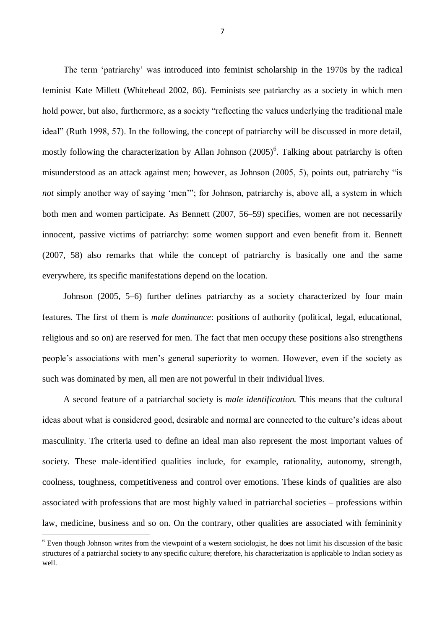The term 'patriarchy' was introduced into feminist scholarship in the 1970s by the radical feminist Kate Millett (Whitehead 2002, 86). Feminists see patriarchy as a society in which men hold power, but also, furthermore, as a society "reflecting the values underlying the traditional male ideal" (Ruth 1998, 57). In the following, the concept of patriarchy will be discussed in more detail, mostly following the characterization by Allan Johnson  $(2005)^6$ . Talking about patriarchy is often misunderstood as an attack against men; however, as Johnson (2005, 5), points out, patriarchy "is *not* simply another way of saying 'men'"; for Johnson, patriarchy is, above all, a system in which both men and women participate. As Bennett (2007, 56–59) specifies, women are not necessarily innocent, passive victims of patriarchy: some women support and even benefit from it. Bennett (2007, 58) also remarks that while the concept of patriarchy is basically one and the same everywhere, its specific manifestations depend on the location.

Johnson (2005, 5–6) further defines patriarchy as a society characterized by four main features. The first of them is *male dominance*: positions of authority (political, legal, educational, religious and so on) are reserved for men. The fact that men occupy these positions also strengthens people's associations with men's general superiority to women. However, even if the society as such was dominated by men, all men are not powerful in their individual lives.

A second feature of a patriarchal society is *male identification.* This means that the cultural ideas about what is considered good, desirable and normal are connected to the culture's ideas about masculinity. The criteria used to define an ideal man also represent the most important values of society. These male-identified qualities include, for example, rationality, autonomy, strength, coolness, toughness, competitiveness and control over emotions. These kinds of qualities are also associated with professions that are most highly valued in patriarchal societies – professions within law, medicine, business and so on. On the contrary, other qualities are associated with femininity

 $6$  Even though Johnson writes from the viewpoint of a western sociologist, he does not limit his discussion of the basic structures of a patriarchal society to any specific culture; therefore, his characterization is applicable to Indian society as well.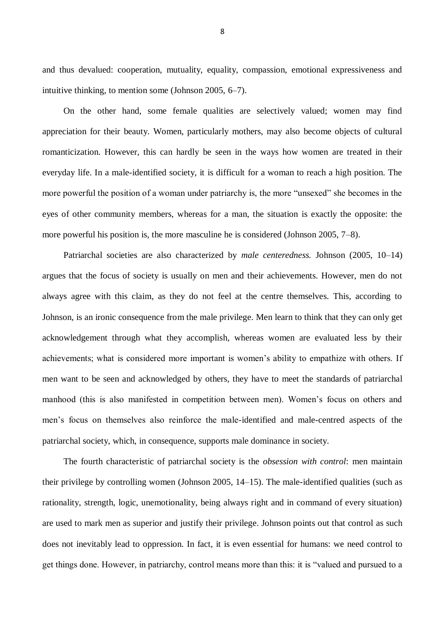and thus devalued: cooperation, mutuality, equality, compassion, emotional expressiveness and intuitive thinking, to mention some (Johnson 2005, 6–7).

On the other hand, some female qualities are selectively valued; women may find appreciation for their beauty. Women, particularly mothers, may also become objects of cultural romanticization. However, this can hardly be seen in the ways how women are treated in their everyday life. In a male-identified society, it is difficult for a woman to reach a high position. The more powerful the position of a woman under patriarchy is, the more "unsexed" she becomes in the eyes of other community members, whereas for a man, the situation is exactly the opposite: the more powerful his position is, the more masculine he is considered (Johnson 2005, 7–8).

Patriarchal societies are also characterized by *male centeredness.* Johnson (2005, 10–14) argues that the focus of society is usually on men and their achievements. However, men do not always agree with this claim, as they do not feel at the centre themselves. This, according to Johnson, is an ironic consequence from the male privilege. Men learn to think that they can only get acknowledgement through what they accomplish, whereas women are evaluated less by their achievements; what is considered more important is women's ability to empathize with others. If men want to be seen and acknowledged by others, they have to meet the standards of patriarchal manhood (this is also manifested in competition between men). Women's focus on others and men's focus on themselves also reinforce the male-identified and male-centred aspects of the patriarchal society, which, in consequence, supports male dominance in society.

The fourth characteristic of patriarchal society is the *obsession with control*: men maintain their privilege by controlling women (Johnson 2005, 14–15). The male-identified qualities (such as rationality, strength, logic, unemotionality, being always right and in command of every situation) are used to mark men as superior and justify their privilege. Johnson points out that control as such does not inevitably lead to oppression. In fact, it is even essential for humans: we need control to get things done. However, in patriarchy, control means more than this: it is "valued and pursued to a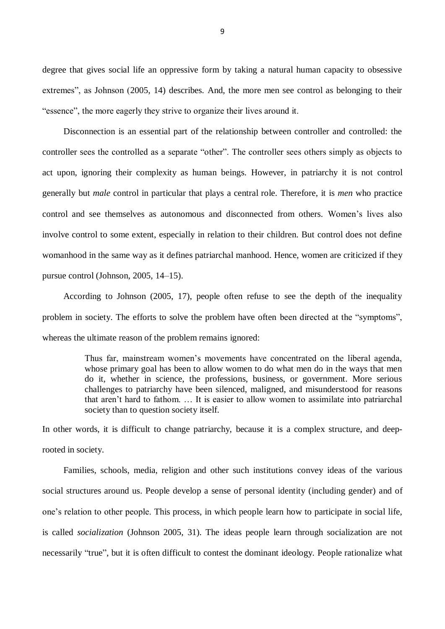degree that gives social life an oppressive form by taking a natural human capacity to obsessive extremes", as Johnson (2005, 14) describes. And, the more men see control as belonging to their "essence", the more eagerly they strive to organize their lives around it.

Disconnection is an essential part of the relationship between controller and controlled: the controller sees the controlled as a separate "other". The controller sees others simply as objects to act upon, ignoring their complexity as human beings. However, in patriarchy it is not control generally but *male* control in particular that plays a central role. Therefore, it is *men* who practice control and see themselves as autonomous and disconnected from others. Women's lives also involve control to some extent, especially in relation to their children. But control does not define womanhood in the same way as it defines patriarchal manhood. Hence, women are criticized if they pursue control (Johnson, 2005, 14–15).

According to Johnson (2005, 17), people often refuse to see the depth of the inequality problem in society. The efforts to solve the problem have often been directed at the "symptoms", whereas the ultimate reason of the problem remains ignored:

> Thus far, mainstream women's movements have concentrated on the liberal agenda, whose primary goal has been to allow women to do what men do in the ways that men do it, whether in science, the professions, business, or government. More serious challenges to patriarchy have been silenced, maligned, and misunderstood for reasons that aren't hard to fathom. … It is easier to allow women to assimilate into patriarchal society than to question society itself.

In other words, it is difficult to change patriarchy, because it is a complex structure, and deeprooted in society.

Families, schools, media, religion and other such institutions convey ideas of the various social structures around us. People develop a sense of personal identity (including gender) and of one's relation to other people. This process, in which people learn how to participate in social life, is called *socialization* (Johnson 2005, 31). The ideas people learn through socialization are not necessarily "true", but it is often difficult to contest the dominant ideology. People rationalize what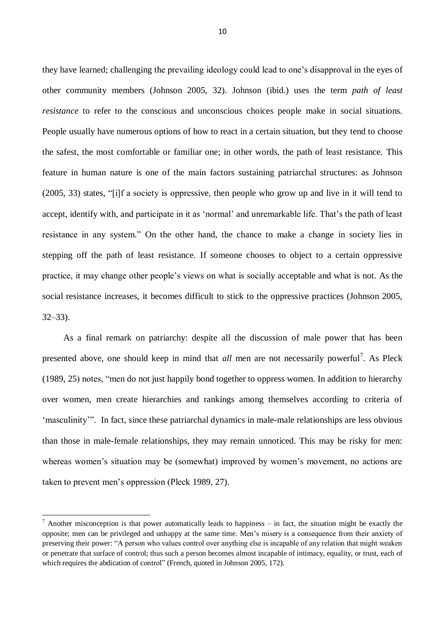they have learned; challenging the prevailing ideology could lead to one's disapproval in the eyes of other community members (Johnson 2005, 32). Johnson (ibid.) uses the term *path of least resistance* to refer to the conscious and unconscious choices people make in social situations. People usually have numerous options of how to react in a certain situation, but they tend to choose the safest, the most comfortable or familiar one; in other words, the path of least resistance. This feature in human nature is one of the main factors sustaining patriarchal structures: as Johnson (2005, 33) states, "[i]f a society is oppressive, then people who grow up and live in it will tend to accept, identify with, and participate in it as 'normal' and unremarkable life. That's the path of least resistance in any system." On the other hand, the chance to make a change in society lies in stepping off the path of least resistance. If someone chooses to object to a certain oppressive practice, it may change other people's views on what is socially acceptable and what is not. As the social resistance increases, it becomes difficult to stick to the oppressive practices (Johnson 2005, 32–33).

As a final remark on patriarchy: despite all the discussion of male power that has been presented above, one should keep in mind that *all* men are not necessarily powerful<sup>7</sup>. As Pleck (1989, 25) notes, "men do not just happily bond together to oppress women. In addition to hierarchy over women, men create hierarchies and rankings among themselves according to criteria of 'masculinity'". In fact, since these patriarchal dynamics in male-male relationships are less obvious than those in male-female relationships, they may remain unnoticed. This may be risky for men: whereas women's situation may be (somewhat) improved by women's movement, no actions are taken to prevent men's oppression (Pleck 1989, 27).

**.** 

 $7$  Another misconception is that power automatically leads to happiness – in fact, the situation might be exactly the opposite; men can be privileged and unhappy at the same time. Men's misery is a consequence from their anxiety of preserving their power: "A person who values control over anything else is incapable of any relation that might weaken or penetrate that surface of control; thus such a person becomes almost incapable of intimacy, equality, or trust, each of which requires the abdication of control" (French, quoted in Johnson 2005, 172).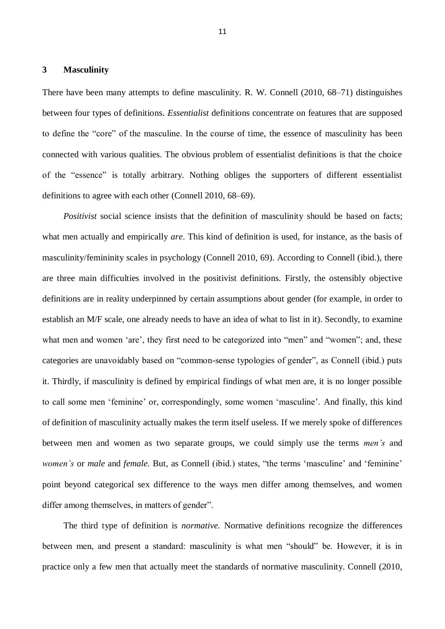#### <span id="page-13-0"></span>**3 Masculinity**

There have been many attempts to define masculinity*.* R. W. Connell (2010, 68–71) distinguishes between four types of definitions. *Essentialist* definitions concentrate on features that are supposed to define the "core" of the masculine. In the course of time, the essence of masculinity has been connected with various qualities. The obvious problem of essentialist definitions is that the choice of the "essence" is totally arbitrary. Nothing obliges the supporters of different essentialist definitions to agree with each other (Connell 2010, 68–69).

*Positivist* social science insists that the definition of masculinity should be based on facts; what men actually and empirically *are*. This kind of definition is used, for instance, as the basis of masculinity/femininity scales in psychology (Connell 2010, 69). According to Connell (ibid.), there are three main difficulties involved in the positivist definitions. Firstly, the ostensibly objective definitions are in reality underpinned by certain assumptions about gender (for example, in order to establish an M/F scale, one already needs to have an idea of what to list in it). Secondly, to examine what men and women 'are', they first need to be categorized into "men" and "women"; and, these categories are unavoidably based on "common-sense typologies of gender", as Connell (ibid.) puts it. Thirdly, if masculinity is defined by empirical findings of what men are, it is no longer possible to call some men 'feminine' or, correspondingly, some women 'masculine'. And finally, this kind of definition of masculinity actually makes the term itself useless. If we merely spoke of differences between men and women as two separate groups, we could simply use the terms *men's* and *women's* or *male* and *female*. But, as Connell (ibid.) states, "the terms 'masculine' and 'feminine' point beyond categorical sex difference to the ways men differ among themselves, and women differ among themselves, in matters of gender".

The third type of definition is *normative.* Normative definitions recognize the differences between men, and present a standard: masculinity is what men "should" be. However, it is in practice only a few men that actually meet the standards of normative masculinity. Connell (2010,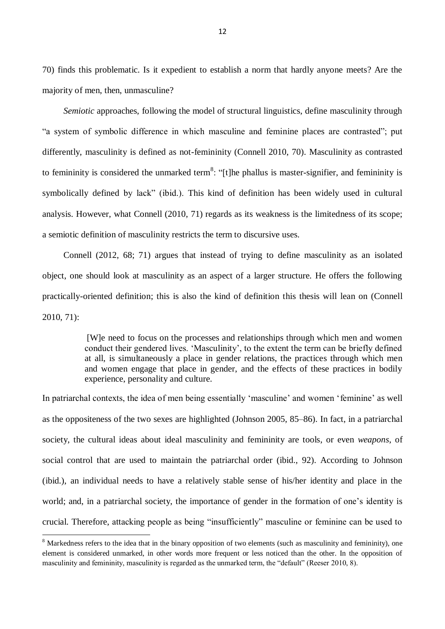70) finds this problematic. Is it expedient to establish a norm that hardly anyone meets? Are the majority of men, then, unmasculine?

*Semiotic* approaches, following the model of structural linguistics, define masculinity through "a system of symbolic difference in which masculine and feminine places are contrasted"; put differently, masculinity is defined as not-femininity (Connell 2010, 70). Masculinity as contrasted to femininity is considered the unmarked term<sup>8</sup>: "[t]he phallus is master-signifier, and femininity is symbolically defined by lack" (ibid.). This kind of definition has been widely used in cultural analysis. However, what Connell (2010, 71) regards as its weakness is the limitedness of its scope; a semiotic definition of masculinity restricts the term to discursive uses.

Connell (2012, 68; 71) argues that instead of trying to define masculinity as an isolated object, one should look at masculinity as an aspect of a larger structure. He offers the following practically-oriented definition; this is also the kind of definition this thesis will lean on (Connell 2010, 71):

> [W]e need to focus on the processes and relationships through which men and women conduct their gendered lives. 'Masculinity', to the extent the term can be briefly defined at all, is simultaneously a place in gender relations, the practices through which men and women engage that place in gender, and the effects of these practices in bodily experience, personality and culture.

In patriarchal contexts, the idea of men being essentially 'masculine' and women 'feminine' as well as the oppositeness of the two sexes are highlighted (Johnson 2005, 85–86). In fact, in a patriarchal society, the cultural ideas about ideal masculinity and femininity are tools, or even *weapons*, of social control that are used to maintain the patriarchal order (ibid., 92). According to Johnson (ibid.), an individual needs to have a relatively stable sense of his/her identity and place in the world; and, in a patriarchal society, the importance of gender in the formation of one's identity is crucial. Therefore, attacking people as being "insufficiently" masculine or feminine can be used to

<sup>&</sup>lt;sup>8</sup> Markedness refers to the idea that in the binary opposition of two elements (such as masculinity and femininity), one element is considered unmarked, in other words more frequent or less noticed than the other. In the opposition of masculinity and femininity, masculinity is regarded as the unmarked term, the "default" (Reeser 2010, 8).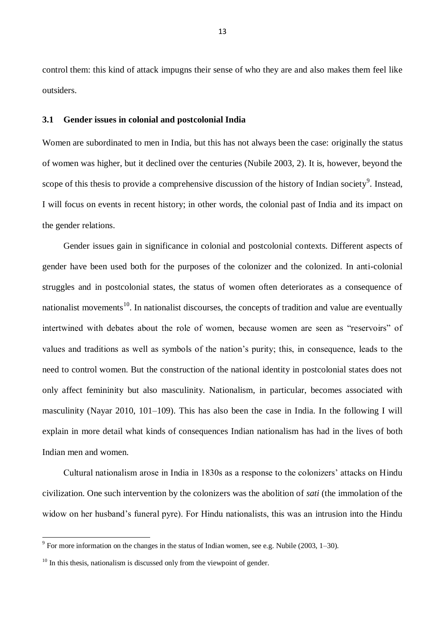control them: this kind of attack impugns their sense of who they are and also makes them feel like outsiders.

## <span id="page-15-0"></span>**3.1 Gender issues in colonial and postcolonial India**

Women are subordinated to men in India, but this has not always been the case: originally the status of women was higher, but it declined over the centuries (Nubile 2003, 2). It is, however, beyond the scope of this thesis to provide a comprehensive discussion of the history of Indian society<sup>9</sup>. Instead, I will focus on events in recent history; in other words, the colonial past of India and its impact on the gender relations.

Gender issues gain in significance in colonial and postcolonial contexts. Different aspects of gender have been used both for the purposes of the colonizer and the colonized. In anti-colonial struggles and in postcolonial states, the status of women often deteriorates as a consequence of nationalist movements<sup>10</sup>. In nationalist discourses, the concepts of tradition and value are eventually intertwined with debates about the role of women, because women are seen as "reservoirs" of values and traditions as well as symbols of the nation's purity; this, in consequence, leads to the need to control women. But the construction of the national identity in postcolonial states does not only affect femininity but also masculinity. Nationalism, in particular, becomes associated with masculinity (Nayar 2010, 101–109). This has also been the case in India. In the following I will explain in more detail what kinds of consequences Indian nationalism has had in the lives of both Indian men and women.

Cultural nationalism arose in India in 1830s as a response to the colonizers' attacks on Hindu civilization. One such intervention by the colonizers was the abolition of *sati* (the immolation of the widow on her husband's funeral pyre). For Hindu nationalists, this was an intrusion into the Hindu

The summation on the changes in the status of Indian women, see e.g. Nubile (2003, 1–30).

 $10$  In this thesis, nationalism is discussed only from the viewpoint of gender.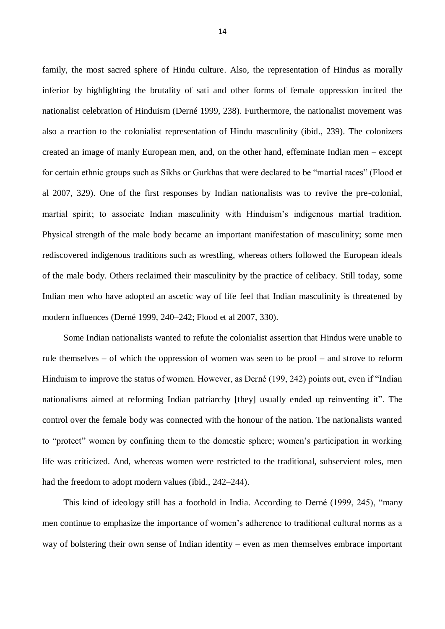family, the most sacred sphere of Hindu culture. Also, the representation of Hindus as morally inferior by highlighting the brutality of sati and other forms of female oppression incited the nationalist celebration of Hinduism (Derné 1999, 238). Furthermore, the nationalist movement was also a reaction to the colonialist representation of Hindu masculinity (ibid., 239). The colonizers created an image of manly European men, and, on the other hand, effeminate Indian men – except for certain ethnic groups such as Sikhs or Gurkhas that were declared to be "martial races" (Flood et al 2007, 329). One of the first responses by Indian nationalists was to revive the pre-colonial, martial spirit; to associate Indian masculinity with Hinduism's indigenous martial tradition. Physical strength of the male body became an important manifestation of masculinity; some men rediscovered indigenous traditions such as wrestling, whereas others followed the European ideals of the male body. Others reclaimed their masculinity by the practice of celibacy. Still today, some Indian men who have adopted an ascetic way of life feel that Indian masculinity is threatened by modern influences (Derné 1999, 240–242; Flood et al 2007, 330).

Some Indian nationalists wanted to refute the colonialist assertion that Hindus were unable to rule themselves – of which the oppression of women was seen to be proof – and strove to reform Hinduism to improve the status of women. However, as Derné (199, 242) points out, even if "Indian nationalisms aimed at reforming Indian patriarchy [they] usually ended up reinventing it". The control over the female body was connected with the honour of the nation. The nationalists wanted to "protect" women by confining them to the domestic sphere; women's participation in working life was criticized. And, whereas women were restricted to the traditional, subservient roles, men had the freedom to adopt modern values (ibid., 242–244).

This kind of ideology still has a foothold in India. According to Derné (1999, 245), "many men continue to emphasize the importance of women's adherence to traditional cultural norms as a way of bolstering their own sense of Indian identity – even as men themselves embrace important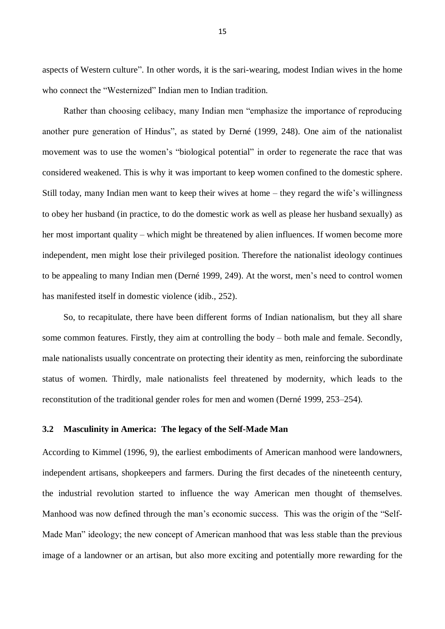aspects of Western culture". In other words, it is the sari-wearing, modest Indian wives in the home who connect the "Westernized" Indian men to Indian tradition.

Rather than choosing celibacy, many Indian men "emphasize the importance of reproducing another pure generation of Hindus", as stated by Derné (1999, 248). One aim of the nationalist movement was to use the women's "biological potential" in order to regenerate the race that was considered weakened. This is why it was important to keep women confined to the domestic sphere. Still today, many Indian men want to keep their wives at home – they regard the wife's willingness to obey her husband (in practice, to do the domestic work as well as please her husband sexually) as her most important quality – which might be threatened by alien influences. If women become more independent, men might lose their privileged position. Therefore the nationalist ideology continues to be appealing to many Indian men (Derné 1999, 249). At the worst, men's need to control women has manifested itself in domestic violence (idib., 252).

So, to recapitulate, there have been different forms of Indian nationalism, but they all share some common features. Firstly, they aim at controlling the body – both male and female. Secondly, male nationalists usually concentrate on protecting their identity as men, reinforcing the subordinate status of women. Thirdly, male nationalists feel threatened by modernity, which leads to the reconstitution of the traditional gender roles for men and women (Derné 1999, 253–254).

#### <span id="page-17-0"></span>**3.2 Masculinity in America: The legacy of the Self-Made Man**

According to Kimmel (1996, 9), the earliest embodiments of American manhood were landowners, independent artisans, shopkeepers and farmers. During the first decades of the nineteenth century, the industrial revolution started to influence the way American men thought of themselves. Manhood was now defined through the man's economic success. This was the origin of the "Self-Made Man" ideology; the new concept of American manhood that was less stable than the previous image of a landowner or an artisan, but also more exciting and potentially more rewarding for the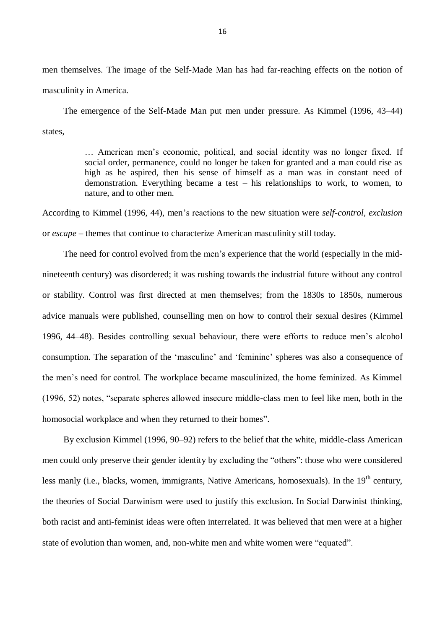men themselves. The image of the Self-Made Man has had far-reaching effects on the notion of masculinity in America.

The emergence of the Self-Made Man put men under pressure. As Kimmel (1996, 43–44) states,

> … American men's economic, political, and social identity was no longer fixed. If social order, permanence, could no longer be taken for granted and a man could rise as high as he aspired, then his sense of himself as a man was in constant need of demonstration. Everything became a test – his relationships to work, to women, to nature, and to other men.

According to Kimmel (1996, 44), men's reactions to the new situation were *self-control*, *exclusion* or *escape* – themes that continue to characterize American masculinity still today.

The need for control evolved from the men's experience that the world (especially in the midnineteenth century) was disordered; it was rushing towards the industrial future without any control or stability. Control was first directed at men themselves; from the 1830s to 1850s, numerous advice manuals were published, counselling men on how to control their sexual desires (Kimmel 1996, 44–48). Besides controlling sexual behaviour, there were efforts to reduce men's alcohol consumption. The separation of the 'masculine' and 'feminine' spheres was also a consequence of the men's need for control. The workplace became masculinized, the home feminized. As Kimmel (1996, 52) notes, "separate spheres allowed insecure middle-class men to feel like men, both in the homosocial workplace and when they returned to their homes".

By exclusion Kimmel (1996, 90–92) refers to the belief that the white, middle-class American men could only preserve their gender identity by excluding the "others": those who were considered less manly (i.e., blacks, women, immigrants, Native Americans, homosexuals). In the 19<sup>th</sup> century, the theories of Social Darwinism were used to justify this exclusion. In Social Darwinist thinking, both racist and anti-feminist ideas were often interrelated. It was believed that men were at a higher state of evolution than women, and, non-white men and white women were "equated".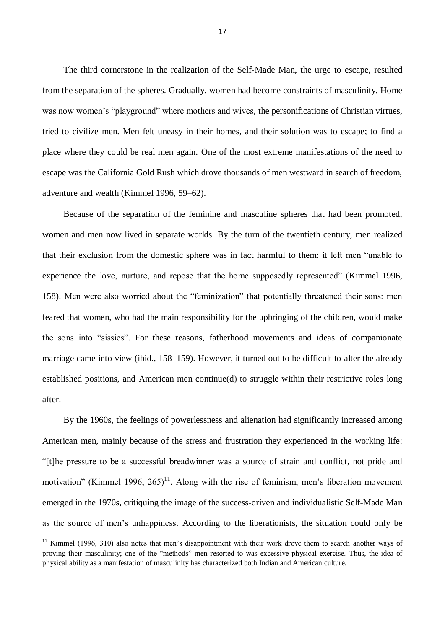The third cornerstone in the realization of the Self-Made Man, the urge to escape, resulted from the separation of the spheres. Gradually, women had become constraints of masculinity. Home was now women's "playground" where mothers and wives, the personifications of Christian virtues, tried to civilize men. Men felt uneasy in their homes, and their solution was to escape; to find a place where they could be real men again. One of the most extreme manifestations of the need to escape was the California Gold Rush which drove thousands of men westward in search of freedom, adventure and wealth (Kimmel 1996, 59–62).

Because of the separation of the feminine and masculine spheres that had been promoted, women and men now lived in separate worlds. By the turn of the twentieth century, men realized that their exclusion from the domestic sphere was in fact harmful to them: it left men "unable to experience the love, nurture, and repose that the home supposedly represented" (Kimmel 1996, 158). Men were also worried about the "feminization" that potentially threatened their sons: men feared that women, who had the main responsibility for the upbringing of the children, would make the sons into "sissies". For these reasons, fatherhood movements and ideas of companionate marriage came into view (ibid., 158–159). However, it turned out to be difficult to alter the already established positions, and American men continue(d) to struggle within their restrictive roles long after.

By the 1960s, the feelings of powerlessness and alienation had significantly increased among American men, mainly because of the stress and frustration they experienced in the working life: "[t]he pressure to be a successful breadwinner was a source of strain and conflict, not pride and motivation" (Kimmel 1996,  $265$ )<sup>11</sup>. Along with the rise of feminism, men's liberation movement emerged in the 1970s, critiquing the image of the success-driven and individualistic Self-Made Man as the source of men's unhappiness. According to the liberationists, the situation could only be

 $11$  Kimmel (1996, 310) also notes that men's disappointment with their work drove them to search another ways of proving their masculinity; one of the "methods" men resorted to was excessive physical exercise. Thus, the idea of physical ability as a manifestation of masculinity has characterized both Indian and American culture.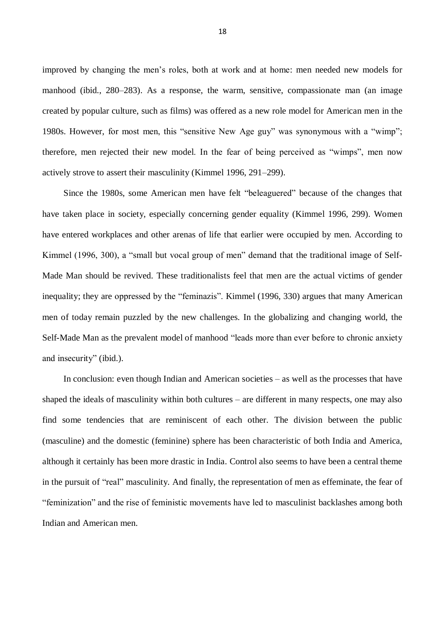improved by changing the men's roles, both at work and at home: men needed new models for manhood (ibid., 280–283). As a response, the warm, sensitive, compassionate man (an image created by popular culture, such as films) was offered as a new role model for American men in the 1980s. However, for most men, this "sensitive New Age guy" was synonymous with a "wimp"; therefore, men rejected their new model. In the fear of being perceived as "wimps", men now actively strove to assert their masculinity (Kimmel 1996, 291–299).

Since the 1980s, some American men have felt "beleaguered" because of the changes that have taken place in society, especially concerning gender equality (Kimmel 1996, 299). Women have entered workplaces and other arenas of life that earlier were occupied by men. According to Kimmel (1996, 300), a "small but vocal group of men" demand that the traditional image of Self-Made Man should be revived. These traditionalists feel that men are the actual victims of gender inequality; they are oppressed by the "feminazis". Kimmel (1996, 330) argues that many American men of today remain puzzled by the new challenges. In the globalizing and changing world, the Self-Made Man as the prevalent model of manhood "leads more than ever before to chronic anxiety and insecurity" (ibid.).

In conclusion: even though Indian and American societies – as well as the processes that have shaped the ideals of masculinity within both cultures – are different in many respects, one may also find some tendencies that are reminiscent of each other. The division between the public (masculine) and the domestic (feminine) sphere has been characteristic of both India and America, although it certainly has been more drastic in India. Control also seems to have been a central theme in the pursuit of "real" masculinity. And finally, the representation of men as effeminate, the fear of "feminization" and the rise of feministic movements have led to masculinist backlashes among both Indian and American men.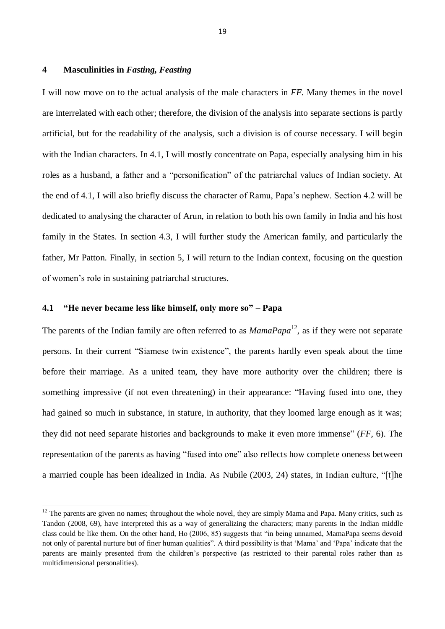# <span id="page-21-0"></span>**4 Masculinities in** *Fasting, Feasting*

I will now move on to the actual analysis of the male characters in *FF.* Many themes in the novel are interrelated with each other; therefore, the division of the analysis into separate sections is partly artificial, but for the readability of the analysis, such a division is of course necessary. I will begin with the Indian characters. In 4.1, I will mostly concentrate on Papa, especially analysing him in his roles as a husband, a father and a "personification" of the patriarchal values of Indian society. At the end of 4.1, I will also briefly discuss the character of Ramu, Papa's nephew. Section 4.2 will be dedicated to analysing the character of Arun, in relation to both his own family in India and his host family in the States. In section 4.3, I will further study the American family, and particularly the father, Mr Patton. Finally, in section 5, I will return to the Indian context, focusing on the question of women's role in sustaining patriarchal structures.

## <span id="page-21-1"></span>**4.1 "He never became less like himself, only more so" – Papa**

**.** 

The parents of the Indian family are often referred to as *MamaPapa*<sup>12</sup>, as if they were not separate persons. In their current "Siamese twin existence", the parents hardly even speak about the time before their marriage. As a united team, they have more authority over the children; there is something impressive (if not even threatening) in their appearance: "Having fused into one, they had gained so much in substance, in stature, in authority, that they loomed large enough as it was; they did not need separate histories and backgrounds to make it even more immense" (*FF*, 6). The representation of the parents as having "fused into one" also reflects how complete oneness between a married couple has been idealized in India. As Nubile (2003, 24) states, in Indian culture, "[t]he

 $12$  The parents are given no names; throughout the whole novel, they are simply Mama and Papa. Many critics, such as Tandon (2008, 69), have interpreted this as a way of generalizing the characters; many parents in the Indian middle class could be like them. On the other hand, Ho (2006, 85) suggests that "in being unnamed, MamaPapa seems devoid not only of parental nurture but of finer human qualities". A third possibility is that 'Mama' and 'Papa' indicate that the parents are mainly presented from the children's perspective (as restricted to their parental roles rather than as multidimensional personalities).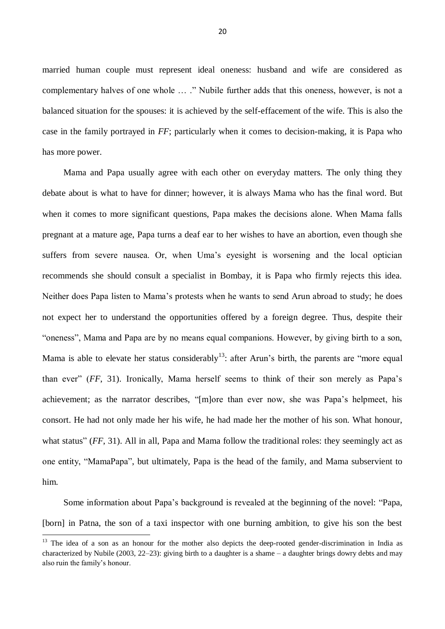married human couple must represent ideal oneness: husband and wife are considered as complementary halves of one whole … ." Nubile further adds that this oneness, however, is not a balanced situation for the spouses: it is achieved by the self-effacement of the wife. This is also the case in the family portrayed in *FF*; particularly when it comes to decision-making, it is Papa who has more power.

Mama and Papa usually agree with each other on everyday matters. The only thing they debate about is what to have for dinner; however, it is always Mama who has the final word. But when it comes to more significant questions, Papa makes the decisions alone. When Mama falls pregnant at a mature age, Papa turns a deaf ear to her wishes to have an abortion, even though she suffers from severe nausea. Or, when Uma's eyesight is worsening and the local optician recommends she should consult a specialist in Bombay, it is Papa who firmly rejects this idea. Neither does Papa listen to Mama's protests when he wants to send Arun abroad to study; he does not expect her to understand the opportunities offered by a foreign degree. Thus, despite their "oneness", Mama and Papa are by no means equal companions. However, by giving birth to a son, Mama is able to elevate her status considerably<sup>13</sup>: after Arun's birth, the parents are "more equal" than ever" (*FF*, 31). Ironically, Mama herself seems to think of their son merely as Papa's achievement; as the narrator describes, "[m]ore than ever now, she was Papa's helpmeet, his consort. He had not only made her his wife, he had made her the mother of his son. What honour, what status" (*FF*, 31). All in all, Papa and Mama follow the traditional roles: they seemingly act as one entity, "MamaPapa", but ultimately, Papa is the head of the family, and Mama subservient to him.

Some information about Papa's background is revealed at the beginning of the novel: "Papa, [born] in Patna, the son of a taxi inspector with one burning ambition, to give his son the best

<sup>&</sup>lt;sup>13</sup> The idea of a son as an honour for the mother also depicts the deep-rooted gender-discrimination in India as characterized by Nubile (2003, 22–23): giving birth to a daughter is a shame – a daughter brings dowry debts and may also ruin the family's honour.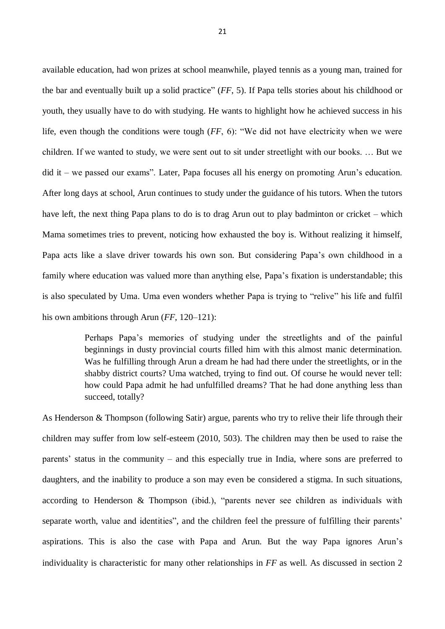available education, had won prizes at school meanwhile, played tennis as a young man, trained for the bar and eventually built up a solid practice" (*FF*, 5). If Papa tells stories about his childhood or youth, they usually have to do with studying. He wants to highlight how he achieved success in his life, even though the conditions were tough (*FF*, 6): "We did not have electricity when we were children. If we wanted to study, we were sent out to sit under streetlight with our books. … But we did it – we passed our exams". Later, Papa focuses all his energy on promoting Arun's education. After long days at school, Arun continues to study under the guidance of his tutors. When the tutors have left, the next thing Papa plans to do is to drag Arun out to play badminton or cricket – which Mama sometimes tries to prevent, noticing how exhausted the boy is. Without realizing it himself, Papa acts like a slave driver towards his own son. But considering Papa's own childhood in a family where education was valued more than anything else, Papa's fixation is understandable; this is also speculated by Uma. Uma even wonders whether Papa is trying to "relive" his life and fulfil his own ambitions through Arun (*FF*, 120–121):

> Perhaps Papa's memories of studying under the streetlights and of the painful beginnings in dusty provincial courts filled him with this almost manic determination. Was he fulfilling through Arun a dream he had had there under the streetlights, or in the shabby district courts? Uma watched, trying to find out. Of course he would never tell: how could Papa admit he had unfulfilled dreams? That he had done anything less than succeed, totally?

As Henderson & Thompson (following Satir) argue, parents who try to relive their life through their children may suffer from low self-esteem (2010, 503). The children may then be used to raise the parents' status in the community – and this especially true in India, where sons are preferred to daughters, and the inability to produce a son may even be considered a stigma. In such situations, according to Henderson & Thompson (ibid.), "parents never see children as individuals with separate worth, value and identities", and the children feel the pressure of fulfilling their parents' aspirations. This is also the case with Papa and Arun. But the way Papa ignores Arun's individuality is characteristic for many other relationships in *FF* as well. As discussed in section 2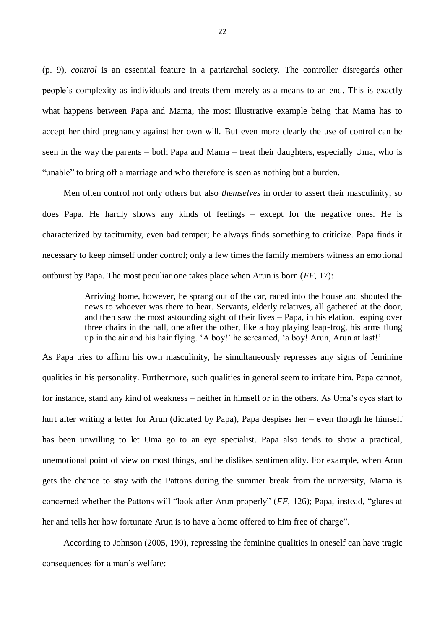(p. 9), *control* is an essential feature in a patriarchal society. The controller disregards other people's complexity as individuals and treats them merely as a means to an end. This is exactly what happens between Papa and Mama, the most illustrative example being that Mama has to accept her third pregnancy against her own will. But even more clearly the use of control can be seen in the way the parents – both Papa and Mama – treat their daughters, especially Uma, who is "unable" to bring off a marriage and who therefore is seen as nothing but a burden.

Men often control not only others but also *themselves* in order to assert their masculinity; so does Papa. He hardly shows any kinds of feelings – except for the negative ones. He is characterized by taciturnity, even bad temper; he always finds something to criticize. Papa finds it necessary to keep himself under control; only a few times the family members witness an emotional outburst by Papa. The most peculiar one takes place when Arun is born (*FF*, 17):

> Arriving home, however, he sprang out of the car, raced into the house and shouted the news to whoever was there to hear. Servants, elderly relatives, all gathered at the door, and then saw the most astounding sight of their lives – Papa, in his elation, leaping over three chairs in the hall, one after the other, like a boy playing leap-frog, his arms flung up in the air and his hair flying. 'A boy!' he screamed, 'a boy! Arun, Arun at last!'

As Papa tries to affirm his own masculinity, he simultaneously represses any signs of feminine qualities in his personality. Furthermore, such qualities in general seem to irritate him. Papa cannot, for instance, stand any kind of weakness – neither in himself or in the others. As Uma's eyes start to hurt after writing a letter for Arun (dictated by Papa), Papa despises her – even though he himself has been unwilling to let Uma go to an eye specialist. Papa also tends to show a practical, unemotional point of view on most things, and he dislikes sentimentality. For example, when Arun gets the chance to stay with the Pattons during the summer break from the university, Mama is concerned whether the Pattons will "look after Arun properly" (*FF*, 126); Papa, instead, "glares at her and tells her how fortunate Arun is to have a home offered to him free of charge".

According to Johnson (2005, 190), repressing the feminine qualities in oneself can have tragic consequences for a man's welfare: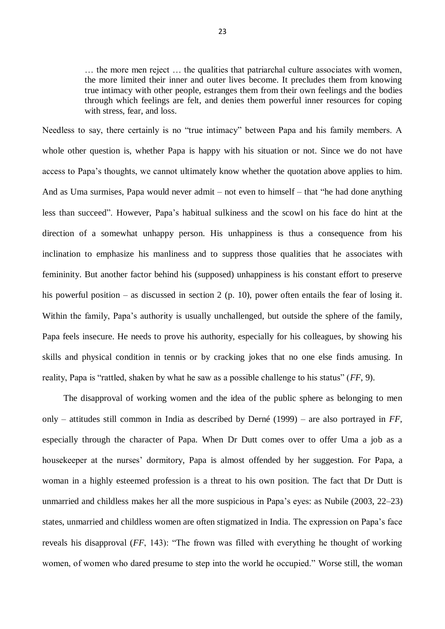… the more men reject … the qualities that patriarchal culture associates with women, the more limited their inner and outer lives become. It precludes them from knowing true intimacy with other people, estranges them from their own feelings and the bodies through which feelings are felt, and denies them powerful inner resources for coping with stress, fear, and loss.

Needless to say, there certainly is no "true intimacy" between Papa and his family members. A whole other question is, whether Papa is happy with his situation or not. Since we do not have access to Papa's thoughts, we cannot ultimately know whether the quotation above applies to him. And as Uma surmises, Papa would never admit – not even to himself – that "he had done anything less than succeed". However, Papa's habitual sulkiness and the scowl on his face do hint at the direction of a somewhat unhappy person. His unhappiness is thus a consequence from his inclination to emphasize his manliness and to suppress those qualities that he associates with femininity. But another factor behind his (supposed) unhappiness is his constant effort to preserve his powerful position – as discussed in section 2 (p. 10), power often entails the fear of losing it. Within the family, Papa's authority is usually unchallenged, but outside the sphere of the family, Papa feels insecure. He needs to prove his authority, especially for his colleagues, by showing his skills and physical condition in tennis or by cracking jokes that no one else finds amusing. In reality, Papa is "rattled, shaken by what he saw as a possible challenge to his status" (*FF*, 9).

The disapproval of working women and the idea of the public sphere as belonging to men only – attitudes still common in India as described by Derné (1999) – are also portrayed in *FF*, especially through the character of Papa. When Dr Dutt comes over to offer Uma a job as a housekeeper at the nurses' dormitory, Papa is almost offended by her suggestion. For Papa, a woman in a highly esteemed profession is a threat to his own position. The fact that Dr Dutt is unmarried and childless makes her all the more suspicious in Papa's eyes: as Nubile (2003, 22–23) states, unmarried and childless women are often stigmatized in India. The expression on Papa's face reveals his disapproval (*FF*, 143): "The frown was filled with everything he thought of working women, of women who dared presume to step into the world he occupied." Worse still, the woman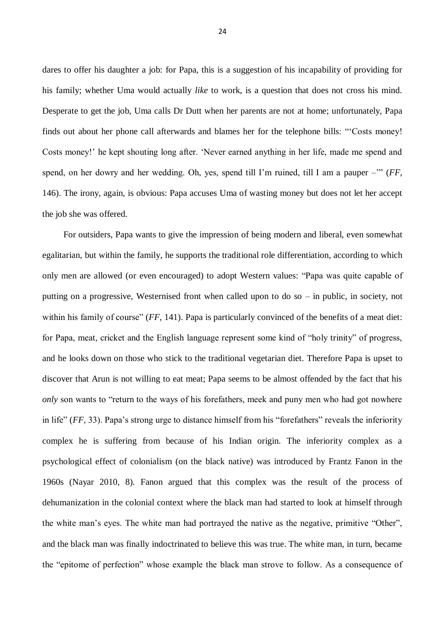dares to offer his daughter a job: for Papa, this is a suggestion of his incapability of providing for his family; whether Uma would actually *like* to work, is a question that does not cross his mind. Desperate to get the job, Uma calls Dr Dutt when her parents are not at home; unfortunately, Papa finds out about her phone call afterwards and blames her for the telephone bills: "'Costs money! Costs money!' he kept shouting long after. 'Never earned anything in her life, made me spend and spend, on her dowry and her wedding. Oh, yes, spend till I'm ruined, till I am a pauper –'" (*FF*, 146). The irony, again, is obvious: Papa accuses Uma of wasting money but does not let her accept the job she was offered.

For outsiders, Papa wants to give the impression of being modern and liberal, even somewhat egalitarian, but within the family, he supports the traditional role differentiation, according to which only men are allowed (or even encouraged) to adopt Western values: "Papa was quite capable of putting on a progressive, Westernised front when called upon to do so – in public, in society, not within his family of course" (*FF*, 141). Papa is particularly convinced of the benefits of a meat diet: for Papa, meat, cricket and the English language represent some kind of "holy trinity" of progress, and he looks down on those who stick to the traditional vegetarian diet. Therefore Papa is upset to discover that Arun is not willing to eat meat; Papa seems to be almost offended by the fact that his *only* son wants to "return to the ways of his forefathers, meek and puny men who had got nowhere in life" (*FF*, 33). Papa's strong urge to distance himself from his "forefathers" reveals the inferiority complex he is suffering from because of his Indian origin. The inferiority complex as a psychological effect of colonialism (on the black native) was introduced by Frantz Fanon in the 1960s (Nayar 2010, 8). Fanon argued that this complex was the result of the process of dehumanization in the colonial context where the black man had started to look at himself through the white man's eyes. The white man had portrayed the native as the negative, primitive "Other", and the black man was finally indoctrinated to believe this was true. The white man, in turn, became the "epitome of perfection" whose example the black man strove to follow. As a consequence of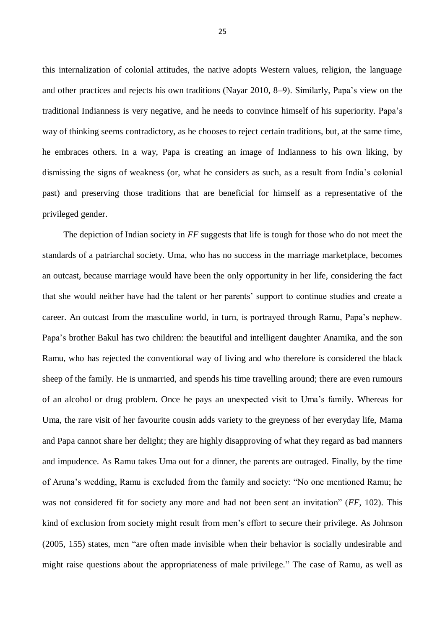this internalization of colonial attitudes, the native adopts Western values, religion, the language and other practices and rejects his own traditions (Nayar 2010, 8–9). Similarly, Papa's view on the traditional Indianness is very negative, and he needs to convince himself of his superiority. Papa's way of thinking seems contradictory, as he chooses to reject certain traditions, but, at the same time, he embraces others. In a way, Papa is creating an image of Indianness to his own liking, by dismissing the signs of weakness (or, what he considers as such, as a result from India's colonial past) and preserving those traditions that are beneficial for himself as a representative of the privileged gender.

The depiction of Indian society in *FF* suggests that life is tough for those who do not meet the standards of a patriarchal society. Uma, who has no success in the marriage marketplace, becomes an outcast, because marriage would have been the only opportunity in her life, considering the fact that she would neither have had the talent or her parents' support to continue studies and create a career. An outcast from the masculine world, in turn, is portrayed through Ramu, Papa's nephew. Papa's brother Bakul has two children: the beautiful and intelligent daughter Anamika, and the son Ramu, who has rejected the conventional way of living and who therefore is considered the black sheep of the family. He is unmarried, and spends his time travelling around; there are even rumours of an alcohol or drug problem. Once he pays an unexpected visit to Uma's family. Whereas for Uma, the rare visit of her favourite cousin adds variety to the greyness of her everyday life, Mama and Papa cannot share her delight; they are highly disapproving of what they regard as bad manners and impudence. As Ramu takes Uma out for a dinner, the parents are outraged. Finally, by the time of Aruna's wedding, Ramu is excluded from the family and society: "No one mentioned Ramu; he was not considered fit for society any more and had not been sent an invitation" (*FF*, 102). This kind of exclusion from society might result from men's effort to secure their privilege. As Johnson (2005, 155) states, men "are often made invisible when their behavior is socially undesirable and might raise questions about the appropriateness of male privilege." The case of Ramu, as well as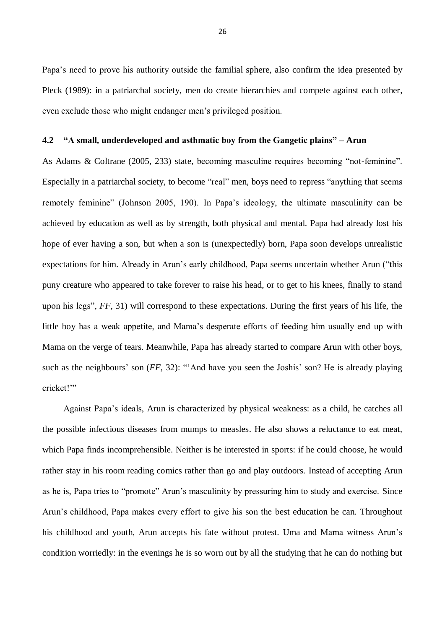Papa's need to prove his authority outside the familial sphere, also confirm the idea presented by Pleck (1989): in a patriarchal society, men do create hierarchies and compete against each other, even exclude those who might endanger men's privileged position.

# <span id="page-28-0"></span>**4.2 "A small, underdeveloped and asthmatic boy from the Gangetic plains" – Arun**

As Adams & Coltrane (2005, 233) state, becoming masculine requires becoming "not-feminine". Especially in a patriarchal society, to become "real" men, boys need to repress "anything that seems remotely feminine" (Johnson 2005, 190). In Papa's ideology, the ultimate masculinity can be achieved by education as well as by strength, both physical and mental. Papa had already lost his hope of ever having a son, but when a son is (unexpectedly) born, Papa soon develops unrealistic expectations for him. Already in Arun's early childhood, Papa seems uncertain whether Arun ("this puny creature who appeared to take forever to raise his head, or to get to his knees, finally to stand upon his legs", *FF*, 31) will correspond to these expectations. During the first years of his life, the little boy has a weak appetite, and Mama's desperate efforts of feeding him usually end up with Mama on the verge of tears. Meanwhile, Papa has already started to compare Arun with other boys, such as the neighbours' son (*FF*, 32): "'And have you seen the Joshis' son? He is already playing cricket!'"

Against Papa's ideals, Arun is characterized by physical weakness: as a child, he catches all the possible infectious diseases from mumps to measles. He also shows a reluctance to eat meat, which Papa finds incomprehensible. Neither is he interested in sports: if he could choose, he would rather stay in his room reading comics rather than go and play outdoors. Instead of accepting Arun as he is, Papa tries to "promote" Arun's masculinity by pressuring him to study and exercise. Since Arun's childhood, Papa makes every effort to give his son the best education he can. Throughout his childhood and youth, Arun accepts his fate without protest. Uma and Mama witness Arun's condition worriedly: in the evenings he is so worn out by all the studying that he can do nothing but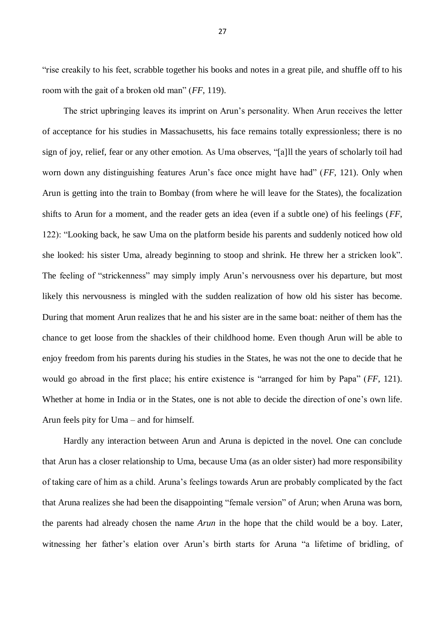"rise creakily to his feet, scrabble together his books and notes in a great pile, and shuffle off to his room with the gait of a broken old man" (*FF*, 119).

The strict upbringing leaves its imprint on Arun's personality. When Arun receives the letter of acceptance for his studies in Massachusetts, his face remains totally expressionless; there is no sign of joy, relief, fear or any other emotion. As Uma observes, "[a]ll the years of scholarly toil had worn down any distinguishing features Arun's face once might have had" (*FF*, 121). Only when Arun is getting into the train to Bombay (from where he will leave for the States), the focalization shifts to Arun for a moment, and the reader gets an idea (even if a subtle one) of his feelings (*FF*, 122): "Looking back, he saw Uma on the platform beside his parents and suddenly noticed how old she looked: his sister Uma, already beginning to stoop and shrink. He threw her a stricken look". The feeling of "strickenness" may simply imply Arun's nervousness over his departure, but most likely this nervousness is mingled with the sudden realization of how old his sister has become. During that moment Arun realizes that he and his sister are in the same boat: neither of them has the chance to get loose from the shackles of their childhood home. Even though Arun will be able to enjoy freedom from his parents during his studies in the States, he was not the one to decide that he would go abroad in the first place; his entire existence is "arranged for him by Papa" (*FF*, 121). Whether at home in India or in the States, one is not able to decide the direction of one's own life. Arun feels pity for Uma – and for himself.

Hardly any interaction between Arun and Aruna is depicted in the novel. One can conclude that Arun has a closer relationship to Uma, because Uma (as an older sister) had more responsibility of taking care of him as a child. Aruna's feelings towards Arun are probably complicated by the fact that Aruna realizes she had been the disappointing "female version" of Arun; when Aruna was born, the parents had already chosen the name *Arun* in the hope that the child would be a boy. Later, witnessing her father's elation over Arun's birth starts for Aruna "a lifetime of bridling, of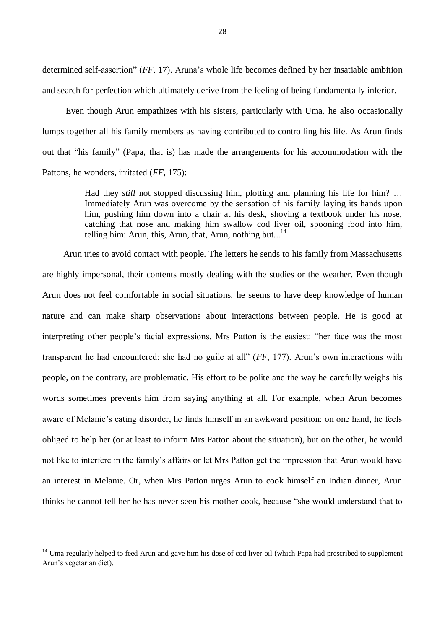determined self-assertion" (*FF*, 17). Aruna's whole life becomes defined by her insatiable ambition and search for perfection which ultimately derive from the feeling of being fundamentally inferior.

Even though Arun empathizes with his sisters, particularly with Uma, he also occasionally lumps together all his family members as having contributed to controlling his life. As Arun finds out that "his family" (Papa, that is) has made the arrangements for his accommodation with the Pattons, he wonders, irritated (*FF*, 175):

> Had they *still* not stopped discussing him, plotting and planning his life for him? … Immediately Arun was overcome by the sensation of his family laying its hands upon him, pushing him down into a chair at his desk, shoving a textbook under his nose, catching that nose and making him swallow cod liver oil, spooning food into him, telling him: Arun, this, Arun, that, Arun, nothing but...<sup>14</sup>

Arun tries to avoid contact with people. The letters he sends to his family from Massachusetts are highly impersonal, their contents mostly dealing with the studies or the weather. Even though Arun does not feel comfortable in social situations, he seems to have deep knowledge of human nature and can make sharp observations about interactions between people. He is good at interpreting other people's facial expressions. Mrs Patton is the easiest: "her face was the most transparent he had encountered: she had no guile at all" (*FF*, 177). Arun's own interactions with people, on the contrary, are problematic. His effort to be polite and the way he carefully weighs his words sometimes prevents him from saying anything at all. For example, when Arun becomes aware of Melanie's eating disorder, he finds himself in an awkward position: on one hand, he feels obliged to help her (or at least to inform Mrs Patton about the situation), but on the other, he would not like to interfere in the family's affairs or let Mrs Patton get the impression that Arun would have an interest in Melanie. Or, when Mrs Patton urges Arun to cook himself an Indian dinner, Arun thinks he cannot tell her he has never seen his mother cook, because "she would understand that to

-

 $14$  Uma regularly helped to feed Arun and gave him his dose of cod liver oil (which Papa had prescribed to supplement Arun's vegetarian diet).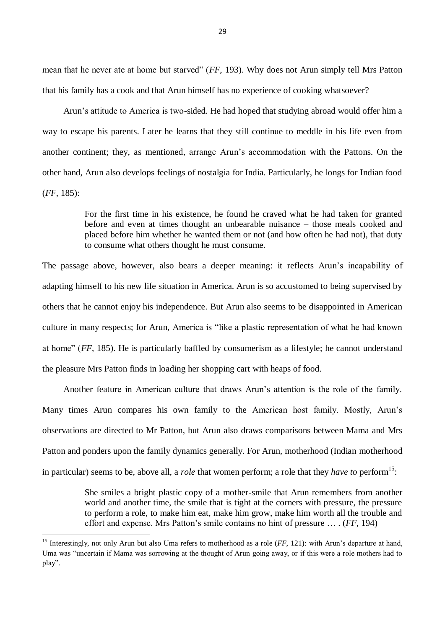mean that he never ate at home but starved" (*FF*, 193). Why does not Arun simply tell Mrs Patton that his family has a cook and that Arun himself has no experience of cooking whatsoever?

Arun's attitude to America is two-sided. He had hoped that studying abroad would offer him a way to escape his parents. Later he learns that they still continue to meddle in his life even from another continent; they, as mentioned, arrange Arun's accommodation with the Pattons. On the other hand, Arun also develops feelings of nostalgia for India. Particularly, he longs for Indian food (*FF*, 185):

> For the first time in his existence, he found he craved what he had taken for granted before and even at times thought an unbearable nuisance – those meals cooked and placed before him whether he wanted them or not (and how often he had not), that duty to consume what others thought he must consume.

The passage above, however, also bears a deeper meaning: it reflects Arun's incapability of adapting himself to his new life situation in America. Arun is so accustomed to being supervised by others that he cannot enjoy his independence. But Arun also seems to be disappointed in American culture in many respects; for Arun, America is "like a plastic representation of what he had known at home" (*FF*, 185). He is particularly baffled by consumerism as a lifestyle; he cannot understand the pleasure Mrs Patton finds in loading her shopping cart with heaps of food.

Another feature in American culture that draws Arun's attention is the role of the family. Many times Arun compares his own family to the American host family. Mostly, Arun's observations are directed to Mr Patton, but Arun also draws comparisons between Mama and Mrs Patton and ponders upon the family dynamics generally. For Arun, motherhood (Indian motherhood in particular) seems to be, above all, a *role* that women perform; a role that they *have to* perform<sup>15</sup>:

> She smiles a bright plastic copy of a mother-smile that Arun remembers from another world and another time, the smile that is tight at the corners with pressure, the pressure to perform a role, to make him eat, make him grow, make him worth all the trouble and effort and expense. Mrs Patton's smile contains no hint of pressure … . (*FF*, 194)

<sup>&</sup>lt;sup>15</sup> Interestingly, not only Arun but also Uma refers to motherhood as a role (*FF*, 121): with Arun's departure at hand, Uma was "uncertain if Mama was sorrowing at the thought of Arun going away, or if this were a role mothers had to play".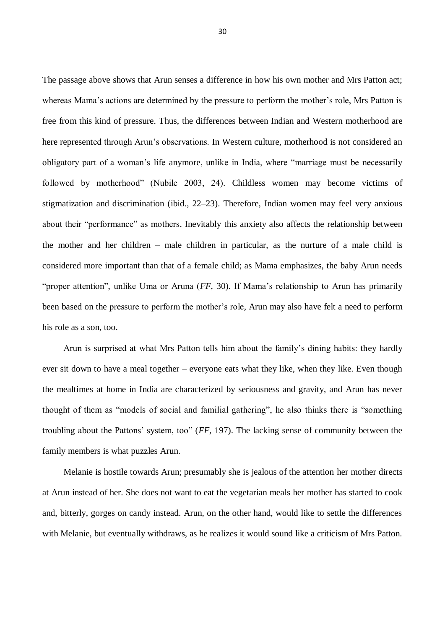The passage above shows that Arun senses a difference in how his own mother and Mrs Patton act; whereas Mama's actions are determined by the pressure to perform the mother's role, Mrs Patton is free from this kind of pressure. Thus, the differences between Indian and Western motherhood are here represented through Arun's observations. In Western culture, motherhood is not considered an obligatory part of a woman's life anymore, unlike in India, where "marriage must be necessarily followed by motherhood" (Nubile 2003, 24). Childless women may become victims of stigmatization and discrimination (ibid., 22–23). Therefore, Indian women may feel very anxious about their "performance" as mothers. Inevitably this anxiety also affects the relationship between the mother and her children – male children in particular, as the nurture of a male child is considered more important than that of a female child; as Mama emphasizes, the baby Arun needs "proper attention", unlike Uma or Aruna (*FF*, 30). If Mama's relationship to Arun has primarily been based on the pressure to perform the mother's role, Arun may also have felt a need to perform his role as a son, too.

Arun is surprised at what Mrs Patton tells him about the family's dining habits: they hardly ever sit down to have a meal together – everyone eats what they like, when they like. Even though the mealtimes at home in India are characterized by seriousness and gravity, and Arun has never thought of them as "models of social and familial gathering", he also thinks there is "something troubling about the Pattons' system, too" (*FF*, 197). The lacking sense of community between the family members is what puzzles Arun.

Melanie is hostile towards Arun; presumably she is jealous of the attention her mother directs at Arun instead of her. She does not want to eat the vegetarian meals her mother has started to cook and, bitterly, gorges on candy instead. Arun, on the other hand, would like to settle the differences with Melanie, but eventually withdraws, as he realizes it would sound like a criticism of Mrs Patton.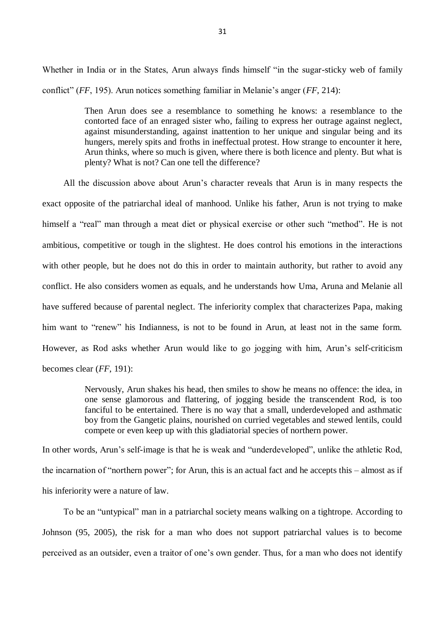Whether in India or in the States, Arun always finds himself "in the sugar-sticky web of family conflict" (*FF*, 195). Arun notices something familiar in Melanie's anger (*FF*, 214):

> Then Arun does see a resemblance to something he knows: a resemblance to the contorted face of an enraged sister who, failing to express her outrage against neglect, against misunderstanding, against inattention to her unique and singular being and its hungers, merely spits and froths in ineffectual protest. How strange to encounter it here, Arun thinks, where so much is given, where there is both licence and plenty. But what is plenty? What is not? Can one tell the difference?

All the discussion above about Arun's character reveals that Arun is in many respects the exact opposite of the patriarchal ideal of manhood. Unlike his father, Arun is not trying to make himself a "real" man through a meat diet or physical exercise or other such "method". He is not ambitious, competitive or tough in the slightest. He does control his emotions in the interactions with other people, but he does not do this in order to maintain authority, but rather to avoid any conflict. He also considers women as equals, and he understands how Uma, Aruna and Melanie all have suffered because of parental neglect. The inferiority complex that characterizes Papa, making him want to "renew" his Indianness, is not to be found in Arun, at least not in the same form. However, as Rod asks whether Arun would like to go jogging with him, Arun's self-criticism becomes clear (*FF*, 191):

> Nervously, Arun shakes his head, then smiles to show he means no offence: the idea, in one sense glamorous and flattering, of jogging beside the transcendent Rod, is too fanciful to be entertained. There is no way that a small, underdeveloped and asthmatic boy from the Gangetic plains, nourished on curried vegetables and stewed lentils, could compete or even keep up with this gladiatorial species of northern power.

In other words, Arun's self-image is that he is weak and "underdeveloped", unlike the athletic Rod, the incarnation of "northern power"; for Arun, this is an actual fact and he accepts this – almost as if his inferiority were a nature of law.

To be an "untypical" man in a patriarchal society means walking on a tightrope. According to Johnson (95, 2005), the risk for a man who does not support patriarchal values is to become perceived as an outsider, even a traitor of one's own gender. Thus, for a man who does not identify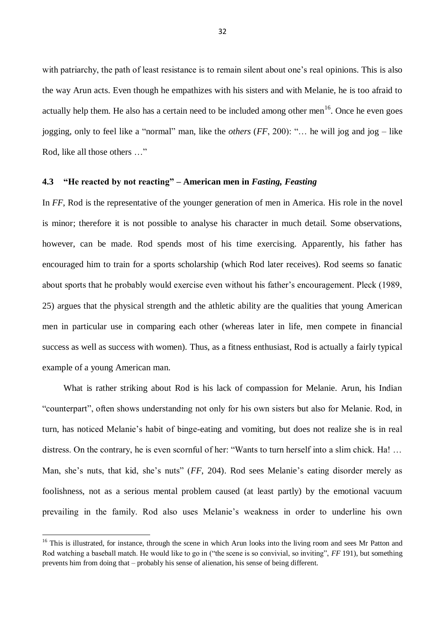with patriarchy, the path of least resistance is to remain silent about one's real opinions. This is also the way Arun acts. Even though he empathizes with his sisters and with Melanie, he is too afraid to actually help them. He also has a certain need to be included among other men $16$ . Once he even goes jogging, only to feel like a "normal" man, like the *others* (*FF*, 200): "… he will jog and jog – like Rod, like all those others …"

# <span id="page-34-0"></span>**4.3 "He reacted by not reacting" – American men in** *Fasting, Feasting*

In *FF*, Rod is the representative of the younger generation of men in America. His role in the novel is minor; therefore it is not possible to analyse his character in much detail. Some observations, however, can be made. Rod spends most of his time exercising. Apparently, his father has encouraged him to train for a sports scholarship (which Rod later receives). Rod seems so fanatic about sports that he probably would exercise even without his father's encouragement. Pleck (1989, 25) argues that the physical strength and the athletic ability are the qualities that young American men in particular use in comparing each other (whereas later in life, men compete in financial success as well as success with women). Thus, as a fitness enthusiast, Rod is actually a fairly typical example of a young American man.

What is rather striking about Rod is his lack of compassion for Melanie. Arun, his Indian "counterpart", often shows understanding not only for his own sisters but also for Melanie. Rod, in turn, has noticed Melanie's habit of binge-eating and vomiting, but does not realize she is in real distress. On the contrary, he is even scornful of her: "Wants to turn herself into a slim chick. Ha! ... Man, she's nuts, that kid, she's nuts" (*FF*, 204). Rod sees Melanie's eating disorder merely as foolishness, not as a serious mental problem caused (at least partly) by the emotional vacuum prevailing in the family. Rod also uses Melanie's weakness in order to underline his own

<sup>&</sup>lt;sup>16</sup> This is illustrated, for instance, through the scene in which Arun looks into the living room and sees Mr Patton and Rod watching a baseball match. He would like to go in ("the scene is so convivial, so inviting", *FF* 191), but something prevents him from doing that – probably his sense of alienation, his sense of being different.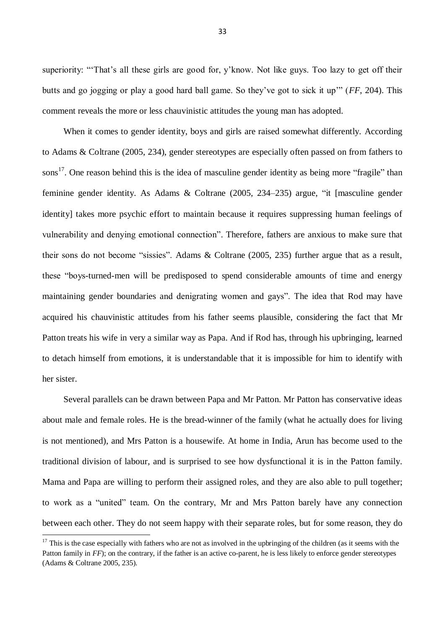superiority: "That's all these girls are good for, y'know. Not like guys. Too lazy to get off their butts and go jogging or play a good hard ball game. So they've got to sick it up'" (*FF*, 204). This comment reveals the more or less chauvinistic attitudes the young man has adopted.

When it comes to gender identity, boys and girls are raised somewhat differently. According to Adams & Coltrane (2005, 234), gender stereotypes are especially often passed on from fathers to sons<sup>17</sup>. One reason behind this is the idea of masculine gender identity as being more "fragile" than feminine gender identity. As Adams & Coltrane (2005, 234–235) argue, "it [masculine gender identity] takes more psychic effort to maintain because it requires suppressing human feelings of vulnerability and denying emotional connection". Therefore, fathers are anxious to make sure that their sons do not become "sissies". Adams & Coltrane (2005, 235) further argue that as a result, these "boys-turned-men will be predisposed to spend considerable amounts of time and energy maintaining gender boundaries and denigrating women and gays". The idea that Rod may have acquired his chauvinistic attitudes from his father seems plausible, considering the fact that Mr Patton treats his wife in very a similar way as Papa. And if Rod has, through his upbringing, learned to detach himself from emotions, it is understandable that it is impossible for him to identify with her sister.

Several parallels can be drawn between Papa and Mr Patton. Mr Patton has conservative ideas about male and female roles. He is the bread-winner of the family (what he actually does for living is not mentioned), and Mrs Patton is a housewife. At home in India, Arun has become used to the traditional division of labour, and is surprised to see how dysfunctional it is in the Patton family. Mama and Papa are willing to perform their assigned roles, and they are also able to pull together; to work as a "united" team. On the contrary, Mr and Mrs Patton barely have any connection between each other. They do not seem happy with their separate roles, but for some reason, they do

 $17$  This is the case especially with fathers who are not as involved in the upbringing of the children (as it seems with the Patton family in *FF*); on the contrary, if the father is an active co-parent, he is less likely to enforce gender stereotypes (Adams & Coltrane 2005, 235).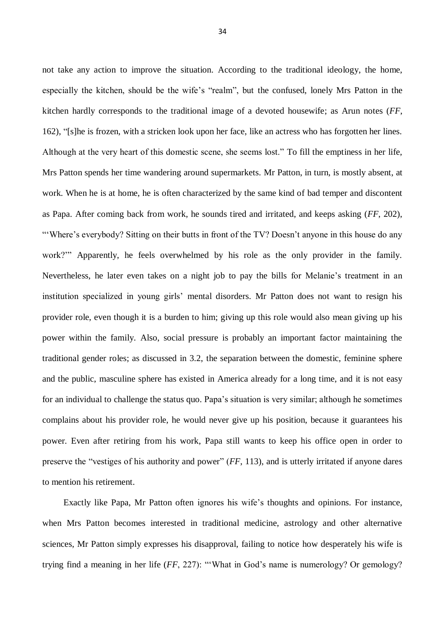not take any action to improve the situation. According to the traditional ideology, the home, especially the kitchen, should be the wife's "realm", but the confused, lonely Mrs Patton in the kitchen hardly corresponds to the traditional image of a devoted housewife; as Arun notes (*FF*, 162), "[s]he is frozen, with a stricken look upon her face, like an actress who has forgotten her lines. Although at the very heart of this domestic scene, she seems lost." To fill the emptiness in her life, Mrs Patton spends her time wandering around supermarkets. Mr Patton, in turn, is mostly absent, at work. When he is at home, he is often characterized by the same kind of bad temper and discontent as Papa. After coming back from work, he sounds tired and irritated, and keeps asking (*FF*, 202), "Where's everybody? Sitting on their butts in front of the TV? Doesn't anyone in this house do any work?'" Apparently, he feels overwhelmed by his role as the only provider in the family. Nevertheless, he later even takes on a night job to pay the bills for Melanie's treatment in an institution specialized in young girls' mental disorders. Mr Patton does not want to resign his provider role, even though it is a burden to him; giving up this role would also mean giving up his power within the family. Also, social pressure is probably an important factor maintaining the traditional gender roles; as discussed in 3.2, the separation between the domestic, feminine sphere and the public, masculine sphere has existed in America already for a long time, and it is not easy for an individual to challenge the status quo. Papa's situation is very similar; although he sometimes complains about his provider role, he would never give up his position, because it guarantees his power. Even after retiring from his work, Papa still wants to keep his office open in order to preserve the "vestiges of his authority and power" (*FF*, 113), and is utterly irritated if anyone dares to mention his retirement.

Exactly like Papa, Mr Patton often ignores his wife's thoughts and opinions. For instance, when Mrs Patton becomes interested in traditional medicine, astrology and other alternative sciences, Mr Patton simply expresses his disapproval, failing to notice how desperately his wife is trying find a meaning in her life (*FF*, 227): "'What in God's name is numerology? Or gemology?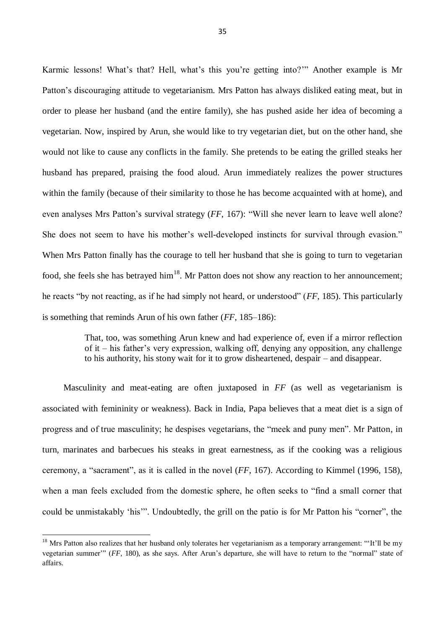Karmic lessons! What's that? Hell, what's this you're getting into?'" Another example is Mr Patton's discouraging attitude to vegetarianism. Mrs Patton has always disliked eating meat, but in order to please her husband (and the entire family), she has pushed aside her idea of becoming a vegetarian. Now, inspired by Arun, she would like to try vegetarian diet, but on the other hand, she would not like to cause any conflicts in the family. She pretends to be eating the grilled steaks her husband has prepared, praising the food aloud. Arun immediately realizes the power structures within the family (because of their similarity to those he has become acquainted with at home), and even analyses Mrs Patton's survival strategy (*FF*, 167): "Will she never learn to leave well alone? She does not seem to have his mother's well-developed instincts for survival through evasion." When Mrs Patton finally has the courage to tell her husband that she is going to turn to vegetarian food, she feels she has betrayed him<sup>18</sup>. Mr Patton does not show any reaction to her announcement; he reacts "by not reacting, as if he had simply not heard, or understood" (*FF*, 185). This particularly is something that reminds Arun of his own father (*FF*, 185–186):

> That, too, was something Arun knew and had experience of, even if a mirror reflection of it – his father's very expression, walking off, denying any opposition, any challenge to his authority, his stony wait for it to grow disheartened, despair – and disappear.

Masculinity and meat-eating are often juxtaposed in *FF* (as well as vegetarianism is associated with femininity or weakness). Back in India, Papa believes that a meat diet is a sign of progress and of true masculinity; he despises vegetarians, the "meek and puny men". Mr Patton, in turn, marinates and barbecues his steaks in great earnestness, as if the cooking was a religious ceremony, a "sacrament", as it is called in the novel (*FF*, 167). According to Kimmel (1996, 158), when a man feels excluded from the domestic sphere, he often seeks to "find a small corner that could be unmistakably 'his'". Undoubtedly, the grill on the patio is for Mr Patton his "corner", the

 $18$  Mrs Patton also realizes that her husband only tolerates her vegetarianism as a temporary arrangement: "It'll be my vegetarian summer'" (*FF*, 180), as she says. After Arun's departure, she will have to return to the "normal" state of affairs.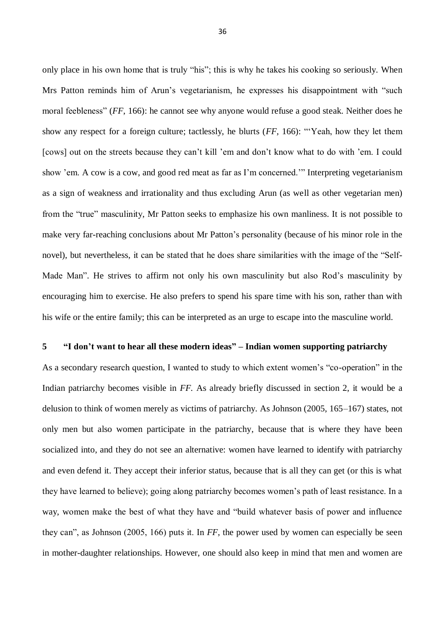only place in his own home that is truly "his"; this is why he takes his cooking so seriously. When Mrs Patton reminds him of Arun's vegetarianism, he expresses his disappointment with "such moral feebleness" (*FF*, 166): he cannot see why anyone would refuse a good steak. Neither does he show any respect for a foreign culture; tactlessly, he blurts (*FF*, 166): "'Yeah, how they let them [cows] out on the streets because they can't kill 'em and don't know what to do with 'em. I could show 'em. A cow is a cow, and good red meat as far as I'm concerned.'" Interpreting vegetarianism as a sign of weakness and irrationality and thus excluding Arun (as well as other vegetarian men) from the "true" masculinity, Mr Patton seeks to emphasize his own manliness. It is not possible to make very far-reaching conclusions about Mr Patton's personality (because of his minor role in the novel), but nevertheless, it can be stated that he does share similarities with the image of the "Self-Made Man". He strives to affirm not only his own masculinity but also Rod's masculinity by encouraging him to exercise. He also prefers to spend his spare time with his son, rather than with his wife or the entire family; this can be interpreted as an urge to escape into the masculine world.

#### <span id="page-38-0"></span>**5 "I don't want to hear all these modern ideas" – Indian women supporting patriarchy**

As a secondary research question, I wanted to study to which extent women's "co-operation" in the Indian patriarchy becomes visible in *FF.* As already briefly discussed in section 2, it would be a delusion to think of women merely as victims of patriarchy. As Johnson (2005, 165–167) states, not only men but also women participate in the patriarchy, because that is where they have been socialized into, and they do not see an alternative: women have learned to identify with patriarchy and even defend it. They accept their inferior status, because that is all they can get (or this is what they have learned to believe); going along patriarchy becomes women's path of least resistance. In a way, women make the best of what they have and "build whatever basis of power and influence they can", as Johnson (2005, 166) puts it. In *FF*, the power used by women can especially be seen in mother-daughter relationships. However, one should also keep in mind that men and women are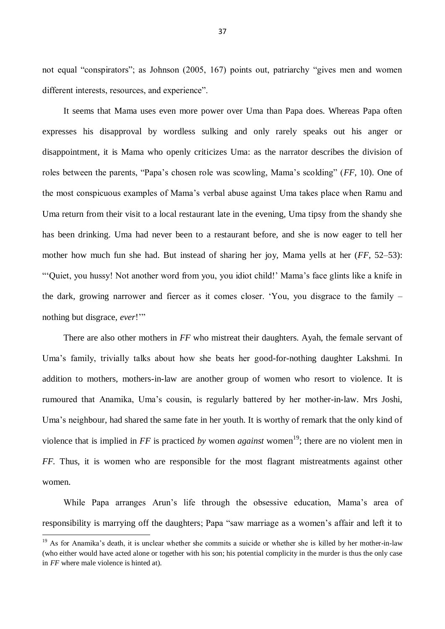not equal "conspirators"; as Johnson (2005, 167) points out, patriarchy "gives men and women different interests, resources, and experience".

It seems that Mama uses even more power over Uma than Papa does. Whereas Papa often expresses his disapproval by wordless sulking and only rarely speaks out his anger or disappointment, it is Mama who openly criticizes Uma: as the narrator describes the division of roles between the parents, "Papa's chosen role was scowling, Mama's scolding" (*FF*, 10). One of the most conspicuous examples of Mama's verbal abuse against Uma takes place when Ramu and Uma return from their visit to a local restaurant late in the evening, Uma tipsy from the shandy she has been drinking. Uma had never been to a restaurant before, and she is now eager to tell her mother how much fun she had. But instead of sharing her joy, Mama yells at her (*FF*, 52–53): "'Quiet, you hussy! Not another word from you, you idiot child!' Mama's face glints like a knife in the dark, growing narrower and fiercer as it comes closer. 'You, you disgrace to the family – nothing but disgrace, *ever*!'"

There are also other mothers in *FF* who mistreat their daughters. Ayah, the female servant of Uma's family, trivially talks about how she beats her good-for-nothing daughter Lakshmi. In addition to mothers, mothers-in-law are another group of women who resort to violence. It is rumoured that Anamika, Uma's cousin, is regularly battered by her mother-in-law. Mrs Joshi, Uma's neighbour, had shared the same fate in her youth. It is worthy of remark that the only kind of violence that is implied in *FF* is practiced *by* women *against* women<sup>19</sup>; there are no violent men in *FF.* Thus, it is women who are responsible for the most flagrant mistreatments against other women.

While Papa arranges Arun's life through the obsessive education, Mama's area of responsibility is marrying off the daughters; Papa "saw marriage as a women's affair and left it to

<sup>&</sup>lt;sup>19</sup> As for Anamika's death, it is unclear whether she commits a suicide or whether she is killed by her mother-in-law (who either would have acted alone or together with his son; his potential complicity in the murder is thus the only case in *FF* where male violence is hinted at).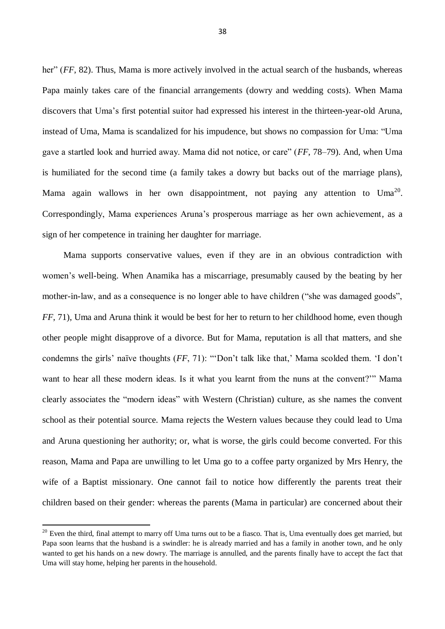her" (*FF*, 82). Thus, Mama is more actively involved in the actual search of the husbands, whereas Papa mainly takes care of the financial arrangements (dowry and wedding costs). When Mama discovers that Uma's first potential suitor had expressed his interest in the thirteen-year-old Aruna, instead of Uma, Mama is scandalized for his impudence, but shows no compassion for Uma: "Uma gave a startled look and hurried away. Mama did not notice, or care" (*FF*, 78–79). And, when Uma is humiliated for the second time (a family takes a dowry but backs out of the marriage plans), Mama again wallows in her own disappointment, not paying any attention to  $Uma^{20}$ . Correspondingly, Mama experiences Aruna's prosperous marriage as her own achievement, as a sign of her competence in training her daughter for marriage.

Mama supports conservative values, even if they are in an obvious contradiction with women's well-being. When Anamika has a miscarriage, presumably caused by the beating by her mother-in-law, and as a consequence is no longer able to have children ("she was damaged goods", *FF*, 71), Uma and Aruna think it would be best for her to return to her childhood home, even though other people might disapprove of a divorce. But for Mama, reputation is all that matters, and she condemns the girls' naïve thoughts (*FF*, 71): "'Don't talk like that,' Mama scolded them. 'I don't want to hear all these modern ideas. Is it what you learnt from the nuns at the convent?'" Mama clearly associates the "modern ideas" with Western (Christian) culture, as she names the convent school as their potential source. Mama rejects the Western values because they could lead to Uma and Aruna questioning her authority; or, what is worse, the girls could become converted. For this reason, Mama and Papa are unwilling to let Uma go to a coffee party organized by Mrs Henry, the wife of a Baptist missionary. One cannot fail to notice how differently the parents treat their children based on their gender: whereas the parents (Mama in particular) are concerned about their

**.** 

 $20$  Even the third, final attempt to marry off Uma turns out to be a fiasco. That is, Uma eventually does get married, but Papa soon learns that the husband is a swindler: he is already married and has a family in another town, and he only wanted to get his hands on a new dowry. The marriage is annulled, and the parents finally have to accept the fact that Uma will stay home, helping her parents in the household.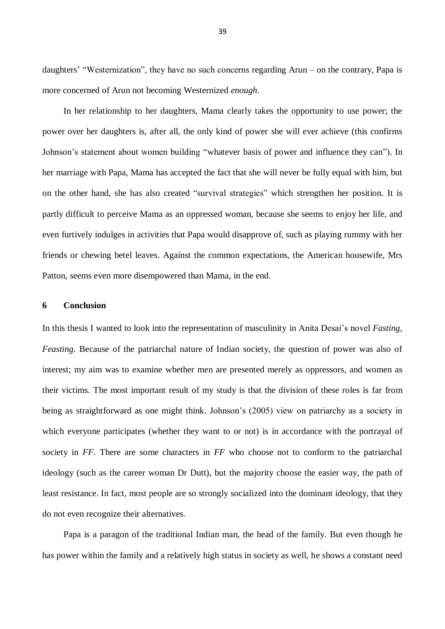daughters' "Westernization", they have no such concerns regarding Arun – on the contrary, Papa is more concerned of Arun not becoming Westernized *enough*.

In her relationship to her daughters, Mama clearly takes the opportunity to use power; the power over her daughters is, after all, the only kind of power she will ever achieve (this confirms Johnson's statement about women building "whatever basis of power and influence they can"). In her marriage with Papa, Mama has accepted the fact that she will never be fully equal with him, but on the other hand, she has also created "survival strategies" which strengthen her position. It is partly difficult to perceive Mama as an oppressed woman, because she seems to enjoy her life, and even furtively indulges in activities that Papa would disapprove of, such as playing rummy with her friends or chewing betel leaves. Against the common expectations, the American housewife, Mrs Patton, seems even more disempowered than Mama, in the end.

#### <span id="page-41-0"></span>**6 Conclusion**

In this thesis I wanted to look into the representation of masculinity in Anita Desai's novel *Fasting, Feasting*. Because of the patriarchal nature of Indian society, the question of power was also of interest; my aim was to examine whether men are presented merely as oppressors, and women as their victims. The most important result of my study is that the division of these roles is far from being as straightforward as one might think. Johnson's (2005) view on patriarchy as a society in which everyone participates (whether they want to or not) is in accordance with the portrayal of society in *FF.* There are some characters in *FF* who choose not to conform to the patriarchal ideology (such as the career woman Dr Dutt), but the majority choose the easier way, the path of least resistance. In fact, most people are so strongly socialized into the dominant ideology, that they do not even recognize their alternatives.

Papa is a paragon of the traditional Indian man, the head of the family. But even though he has power within the family and a relatively high status in society as well, he shows a constant need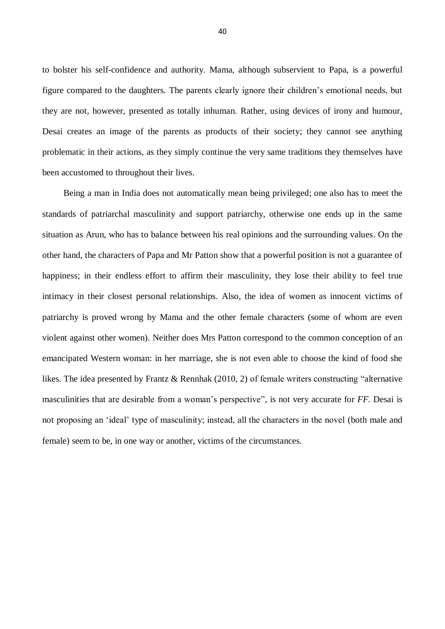to bolster his self-confidence and authority. Mama, although subservient to Papa, is a powerful figure compared to the daughters. The parents clearly ignore their children's emotional needs, but they are not, however, presented as totally inhuman. Rather, using devices of irony and humour, Desai creates an image of the parents as products of their society; they cannot see anything problematic in their actions, as they simply continue the very same traditions they themselves have been accustomed to throughout their lives.

Being a man in India does not automatically mean being privileged; one also has to meet the standards of patriarchal masculinity and support patriarchy, otherwise one ends up in the same situation as Arun, who has to balance between his real opinions and the surrounding values. On the other hand, the characters of Papa and Mr Patton show that a powerful position is not a guarantee of happiness; in their endless effort to affirm their masculinity, they lose their ability to feel true intimacy in their closest personal relationships. Also, the idea of women as innocent victims of patriarchy is proved wrong by Mama and the other female characters (some of whom are even violent against other women). Neither does Mrs Patton correspond to the common conception of an emancipated Western woman: in her marriage, she is not even able to choose the kind of food she likes. The idea presented by Frantz & Rennhak (2010, 2) of female writers constructing "alternative masculinities that are desirable from a woman's perspective", is not very accurate for *FF.* Desai is not proposing an 'ideal' type of masculinity; instead, all the characters in the novel (both male and female) seem to be, in one way or another, victims of the circumstances.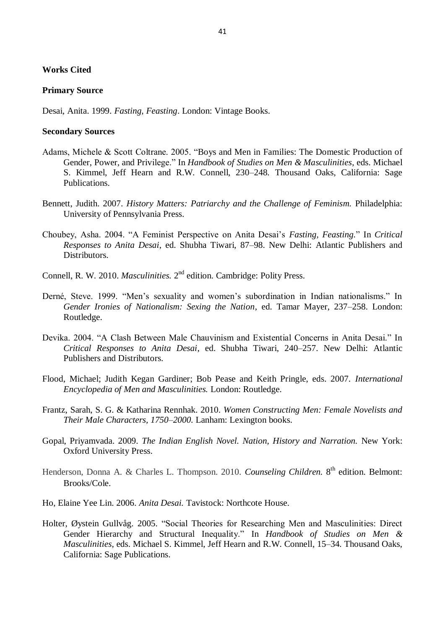# **Works Cited**

#### **Primary Source**

Desai, Anita. 1999. *Fasting, Feasting*. London: Vintage Books.

### **Secondary Sources**

- Adams, Michele & Scott Coltrane. 2005. "Boys and Men in Families: The Domestic Production of Gender, Power, and Privilege." In *Handbook of Studies on Men & Masculinities*, eds. Michael S. Kimmel, Jeff Hearn and R.W. Connell, 230–248*.* Thousand Oaks, California: Sage Publications.
- Bennett, Judith. 2007. *History Matters: Patriarchy and the Challenge of Feminism.* Philadelphia: University of Pennsylvania Press.
- Choubey, Asha. 2004. "A Feminist Perspective on Anita Desai's *Fasting, Feasting.*" In *Critical Responses to Anita Desai*, ed. Shubha Tiwari, 87–98. New Delhi: Atlantic Publishers and Distributors.
- Connell, R. W. 2010. *Masculinities*. 2<sup>nd</sup> edition. Cambridge: Polity Press.
- Derné, Steve. 1999. "Men's sexuality and women's subordination in Indian nationalisms." In *Gender Ironies of Nationalism: Sexing the Nation*, ed. Tamar Mayer, 237–258. London: Routledge.
- Devika. 2004. "A Clash Between Male Chauvinism and Existential Concerns in Anita Desai." In *Critical Responses to Anita Desai*, ed. Shubha Tiwari, 240–257. New Delhi: Atlantic Publishers and Distributors.
- Flood, Michael; Judith Kegan Gardiner; Bob Pease and Keith Pringle, eds. 2007. *International Encyclopedia of Men and Masculinities.* London: Routledge.
- Frantz, Sarah, S. G. & Katharina Rennhak. 2010. *Women Constructing Men: Female Novelists and Their Male Characters, 1750–2000.* Lanham: Lexington books.
- Gopal, Priyamvada. 2009. *The Indian English Novel. Nation, History and Narration.* New York: Oxford University Press.
- Henderson, Donna A. & Charles L. Thompson. 2010. *Counseling Children*. 8<sup>th</sup> edition. Belmont: Brooks/Cole.
- Ho, Elaine Yee Lin. 2006. *Anita Desai.* Tavistock: Northcote House.
- Holter, Øystein Gullvåg. 2005. "Social Theories for Researching Men and Masculinities: Direct Gender Hierarchy and Structural Inequality." In *Handbook of Studies on Men & Masculinities*, eds. Michael S. Kimmel, Jeff Hearn and R.W. Connell, 15–34*.* Thousand Oaks, California: Sage Publications.